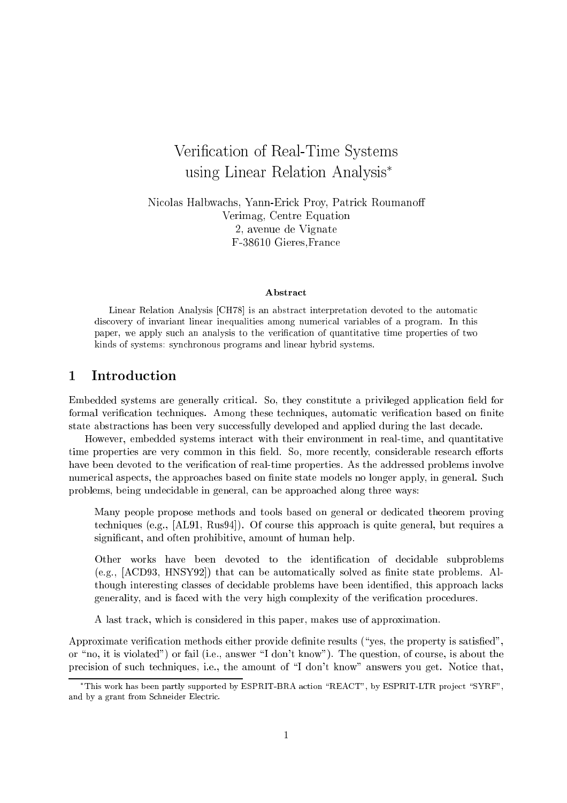# Verication of Real-Time Systems using Linear Relation Analysis

Nicolas Halbwachs, Yann-Erick Proy, Patrick Roumano Verimag, Centre Equation 2, avenue de Vignate F-38610 Gieres,France

#### Abstract

Linear Relation Analysis [CH78] is an abstract interpretation devoted to the automatic discovery of invariant linear inequalities among numerical variables of a program. In this paper, we apply such an analysis to the verification of quantitative time properties of two kinds of systems: synchronous programs and linear hybrid systems.

#### $\mathbf{1}$ **Introduction**

Embedded systems are generally critical. So, they constitute a privileged application field for formal verification techniques. Among these techniques, automatic verification based on finite state abstractions has been very successfully developed and applied during the last decade.

However, embedded systems interact with their environment in real-time, and quantitative time properties are very common in this field. So, more recently, considerable research efforts have been devoted to the verification of real-time properties. As the addressed problems involve numerical aspects, the approaches based on finite state models no longer apply, in general. Such problems, being undecidable in general, can be approached along three ways:

Many people propose methods and tools based on general or dedicated theorem proving techniques (e.g., [AL91, Rus94]). Of course this approach is quite general, but requires a significant, and often prohibitive, amount of human help.

Other works have been devoted to the identication of decidable subproblems  $(e.g., [ACD93, HNSY92])$  that can be automatically solved as finite state problems. Although interesting classes of decidable problems have been identied, this approach lacks generality, and is faced with the very high complexity of the verication procedures.

A last track, which is considered in this paper, makes use of approximation.

Approximate verification methods either provide definite results ("yes, the property is satisfied", or "no, it is violated") or fail (i.e., answer "I don't know"). The question, of course, is about the precision of such techniques, i.e., the amount of \I don't know" answers you get. Notice that,

This work has been partly supported by ESPRIT-BRA action "REACT", by ESPRIT-LTR project "SYRF", and by a grant from Schneider Electric.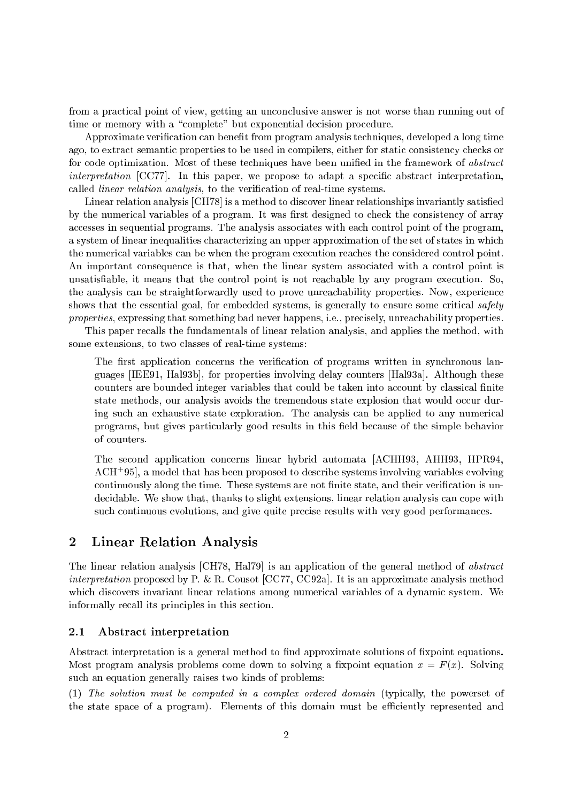from a practical point of view, getting an unconclusive answer is not worse than running out of time or memory with a "complete" but exponential decision procedure.

Approximate verification can benefit from program analysis techniques, developed a long time ago, to extract semantic properties to be used in compilers, either for static consistency checks or for code optimization. Most of these techniques have been unified in the framework of abstract interpretation [CC77]. In this paper, we propose to adapt a specific abstract interpretation, called *linear relation analysis*, to the verification of real-time systems.

Linear relation analysis [CH78] is a method to discover linear relationships invariantly satised by the numerical variables of a program. It was first designed to check the consistency of array accesses in sequential programs. The analysis associates with each control point of the program, a system of linear inequalities characterizing an upper approximation of the set of states in which the numerical variables can be when the program execution reaches the considered control point. An important consequence is that, when the linear system associated with a control point is unsatisable, it means that the control point is not reachable by any program execution. So, the analysis can be straightforwardly used to prove unreachability properties. Now, experience shows that the essential goal, for embedded systems, is generally to ensure some critical safety properties, expressing that something bad never happens, i.e., precisely, unreachability properties.

This paper recalls the fundamentals of linear relation analysis, and applies the method, with some extensions, to two classes of real-time systems:

The first application concerns the verification of programs written in synchronous languages [IEE91, Hal93b], for properties involving delay counters [Hal93a]. Although these counters are bounded integer variables that could be taken into account by classical finite state methods, our analysis avoids the tremendous state explosion that would occur during such an exhaustive state exploration. The analysis can be applied to any numerical programs, but gives particularly good results in this field because of the simple behavior of counters.

The second application concerns linear hybrid automata [ACHH93, AHH93, HPR94, ACH<sup>+</sup> 95], a model that has been proposed to describe systems involving variables evolving continuously along the time. These systems are not finite state, and their verification is undecidable. We show that, thanks to slight extensions, linear relation analysis can cope with such continuous evolutions, and give quite precise results with very good performances.

# 2 Linear Relation Analysis

The linear relation analysis [CH78, Hal79] is an application of the general method of abstract interpretation proposed by P. & R. Cousot [CC77, CC92a]. It is an approximate analysis method which discovers invariant linear relations among numerical variables of a dynamic system. We informally recall its principles in this section.

### 2.1 Abstract interpretation

Abstract interpretation is a general method to find approximate solutions of fixpoint equations. Most program analysis problems come down to solving a fixpoint equation  $x = F(x)$ . Solving such an equation generally raises two kinds of problems:

(1) The solution must be computed in a complex ordered domain (typically, the powerset of the state space of a program). Elements of this domain must be efficiently represented and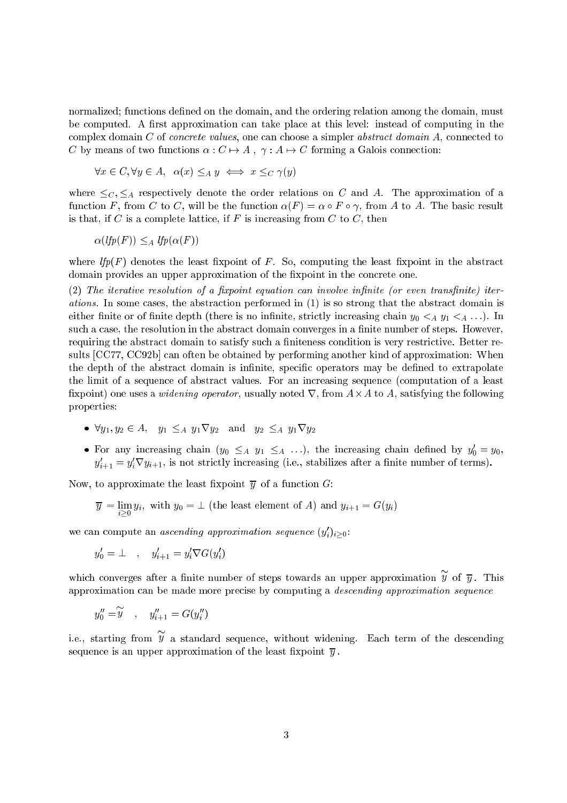normalized; functions defined on the domain, and the ordering relation among the domain, must be computed. A first approximation can take place at this level: instead of computing in the complex domain C of *concrete values*, one can choose a simpler *abstract domain A*, connected to C by means of two functions  $\alpha: C \mapsto A$ ,  $\gamma: A \mapsto C$  forming a Galois connection:

$$
\forall x \in C, \forall y \in A, \ \alpha(x) \leq_A y \iff x \leq_C \gamma(y)
$$

where  $\leq_C$ ,  $\leq_A$  respectively denote the order relations on C and A. The approximation of a function F, from C to C, will be the function  $\alpha(F) = \alpha \circ F \circ \gamma$ , from A to A. The basic result is that, if C is a complete lattice, if F is increasing from C to C, then

$$
\alpha(lfp(F)) \leq_A lfp(\alpha(F))
$$

where  $lfp(F)$  denotes the least fixpoint of F. So, computing the least fixpoint in the abstract domain provides an upper approximation of the fixpoint in the concrete one.

 $(2)$  The iterative resolution of a fixpoint equation can involve infinite (or even transfinite) iterations. In some cases, the abstraction performed in (1) is so strong that the abstract domain is either finite or of finite depth (there is no infinite, strictly increasing chain  $y_0 <_A y_1 <_A \ldots$ ). In such a case, the resolution in the abstract domain converges in a finite number of steps. However, requiring the abstract domain to satisfy such a finiteness condition is very restrictive. Better results [CC77, CC92b] can often be obtained by performing another kind of approximation: When the depth of the abstract domain is infinite, specific operators may be defined to extrapolate the limit of a sequence of abstract values. For an increasing sequence (computation of a least fixpoint) one uses a *widening operator*, usually noted  $\nabla$ , from  $A \times A$  to A, satisfying the following properties:

- $\bullet \ \forall y_1, y_2 \in A$ ,  $y_1 \leq_A y_1 \nabla y_2$  and  $y_2 \leq_A y_1 \nabla y_2$
- For any increasing chain  $(y_0 \leq_A y_1 \leq_A \dots)$ , the increasing chain defined by  $y_0 = y_0$ ,  $y_{i+1} = y_i \vee y_{i+1}, \text{ is not strictly increasing (i.e., stabulzes after a finite number of terms).}$

Now, to approximate the least fixpoint  $\overline{y}$  of a function G:

$$
\overline{y} = \lim_{i \geq 0} y_i
$$
, with  $y_0 = \perp$  (the least element of A) and  $y_{i+1} = G(y_i)$ 

we can compute an *ascenaing approximation sequence*  $(y_i)_{i>0}$ :

$$
y'_0 = \bot \quad , \quad y'_{i+1} = y'_i \nabla G(y'_i)
$$

which converges after a finite number of steps towards an upper approximation  $y$  of  $\overline{y}$ . This approximation can be made more precise by computing a descending approximation sequence

$$
y_0'' = \widetilde{y} \quad , \quad y_{i+1}'' = G(y_i'')
$$

i.e., starting from y a standard sequence, without widening. Each term of the descending sequence is an upper approximation of the least fixpoint  $\overline{y}$ .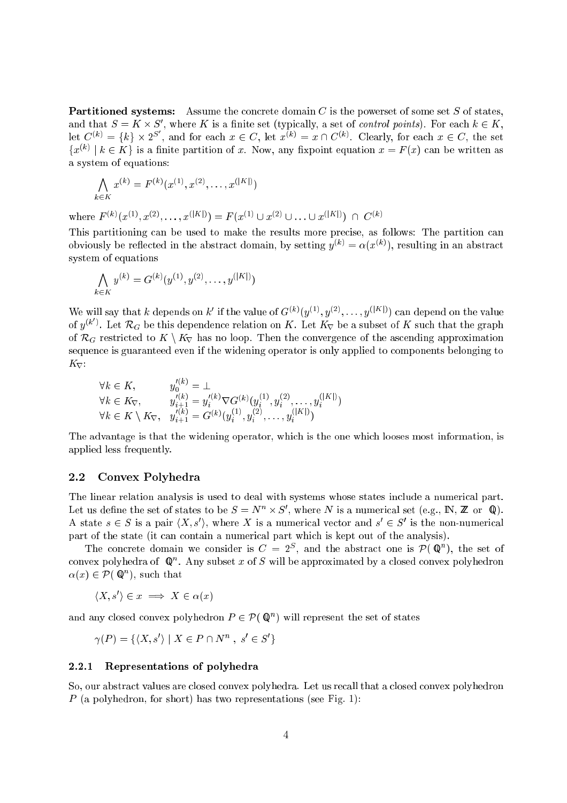**Partitioned systems:** Assume the concrete domain C is the powerset of some set S of states, and that  $S = K \times S'$ , where K is a finite set (typically, a set of *control points*). For each  $k \in K$ , let  $C^{(k)} = \{k\} \times 2^{S'}$ , and for each  $x \in C$ , let  $x^{(k)} = x \cap C^{(k)}$ . Clearly, for each  $x \in C$ , the set  $\{x^{(k)} | k \in K\}$  is a finite partition of x. Now, any fixpoint equation  $x = F(x)$  can be written as a system of equations:

$$
\bigwedge_{k \in K} x^{(k)} = F^{(k)}(x^{(1)}, x^{(2)}, \dots, x^{(|K|)})
$$

where  $F^{(k)}(x^{(1)}, x^{(2)}, \ldots, x^{(|K|)}) = F(x^{(1)} \cup x^{(2)} \cup \ldots \cup x^{(|K|)}) \cap C^{(k)}$ 

This partitioning can be used to make the results more precise, as follows: The partition can obviously be reflected in the abstract domain, by setting  $y^{(k)} = \alpha(x^{(k)})$ , resulting in an abstract system of equations

$$
\bigwedge_{k \in K} y^{(k)} = G^{(k)}(y^{(1)}, y^{(2)}, \dots, y^{(|K|)})
$$

We will say that  $k$  depends on  $k'$  if the value of  $G^{(k)}(y^{(1)}, y^{(2)}, \ldots, y^{(|K|)})$  can depend on the value of  $y^{(k')}$ . Let  $\mathcal{R}_G$  be this dependence relation on  $K$ . Let  $K_\nabla$  be a subset of  $K$  such that the graph of  $\mathcal{R}_G$  restricted to  $K \setminus K_{\nabla}$  has no loop. Then the convergence of the ascending approximation sequence is guaranteed even if the widening operator is only applied to components belonging to  $K_{\nabla}$ :

$$
\forall k \in K, \qquad y_0^{(k)} = \perp \n\forall k \in K_{\nabla}, \qquad y_{i+1}^{(k)} = y_i^{(k)} \nabla G^{(k)}(y_i^{(1)}, y_i^{(2)}, \dots, y_i^{(|K|)}) \n\forall k \in K \setminus K_{\nabla}, \quad y_{i+1}^{(k)} = G^{(k)}(y_i^{(1)}, y_i^{(2)}, \dots, y_i^{(|K|)})
$$

The advantage is that the widening operator, which is the one which looses most information, is applied less frequently.

#### $2.2$ Convex Polyhedra

The linear relation analysis is used to deal with systems whose states include a numerical part. Let us define the set of states to be  $S = N^n \times S'$ , where N is a numerical set (e.g., N, Z or  $\mathbb Q$ ). A state  $s \in S$  is a pair  $\langle X, s' \rangle$ , where X is a numerical vector and  $s' \in S'$  is the non-numerical part of the state (it can contain a numerical part which is kept out of the analysis).

The concrete domain we consider is  $C = 2^S$ , and the abstract one is  $\mathcal{P}(\mathbb{Q}^n)$ , the set of convex polyhedra of  $\mathbb{Q}^n$ . Any subset x of S will be approximated by a closed convex polyhedron  $\alpha(x) \in \mathcal{P}(\mathbb{Q}^n)$ , such that

 $\langle X, s' \rangle \in x \implies X \in \alpha(x)$ 

and any closed convex polyhedron  $P \in \mathcal{P}(\mathbb{Q}^n)$  will represent the set of states

$$
\gamma(P) = \{ \langle X, s' \rangle \mid X \in P \cap N^n , s' \in S' \}
$$

#### $2.2.1$ Representations of polyhedra

So, our abstract values are closed convex polyhedra. Let us recall that a closed convex polyhedron P (a polyhedron, for short) has two representations (see Fig. 1):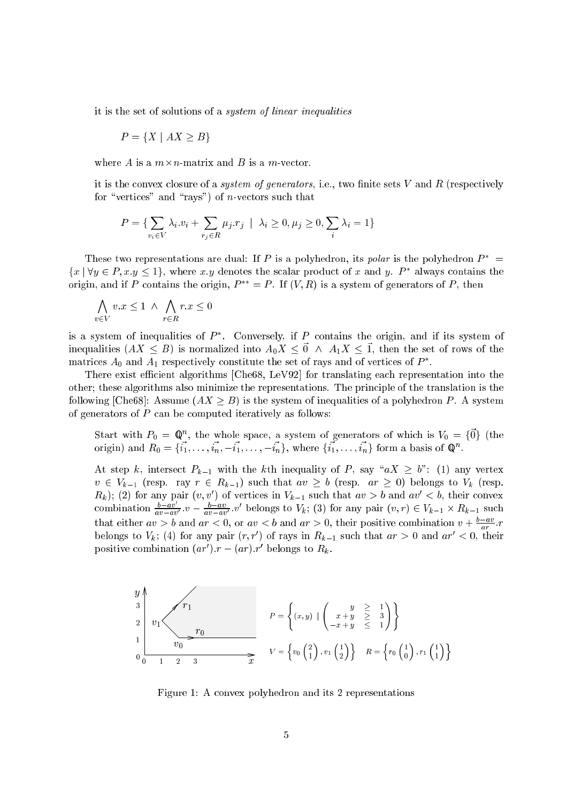it is the set of solutions of a system of linear inequalities

$$
P = \{ X \mid AX \ge B \}
$$

where A is a  $m \times n$ -matrix and B is a m-vector.

it is the convex closure of a *system of generators*, i.e., two finite sets  $V$  and  $R$  (respectively for "vertices" and "rays") of n-vectors such that

$$
P = \{ \sum_{v_i \in V} \lambda_i \cdot v_i + \sum_{r_j \in R} \mu_j \cdot r_j \mid \lambda_i \ge 0, \mu_j \ge 0, \sum_i \lambda_i = 1 \}
$$

These two representations are dual: If P is a polyhedron, its *polar* is the polyhedron  $P^*$  =  $\{x \mid \forall y \in P, x.y \leq 1\}$ , where x.y denotes the scalar product of x and y.  $P^*$  always contains the origin, and if P contains the origin,  $P^{**} = P$ . If  $(V, R)$  is a system of generators of P, then

$$
\bigwedge_{v \in V} v.x \le 1 \ \wedge \ \bigwedge_{r \in R} r.x \le 0
$$

is a system of inequalities of  $P^*$ . Conversely, if P contains the origin, and if its system of inequalities  $(AX \leq B)$  is normalized into  $A_0 X \leq \vec{0} \land A_1 X \leq \vec{1}$ , then the set of rows of the matrices  $A_0$  and  $A_1$  respectively constitute the set of rays and of vertices of  $P^*$ .

There exist efficient algorithms [Che68, LeV92] for translating each representation into the other; these algorithms also minimize the representations. The principle of the translation is the following [Che68]: Assume  $(AX \geq B)$  is the system of inequalities of a polyhedron P. A system of generators of  $P$  can be computed iteratively as follows:

Start with  $P_0 = \mathbb{Q}^n$ , the whole space, a system of generators of which is  $V_0 = \{\vec{0}\}\$  (the origin) and  $R_0 = \{\vec{i_1}, \ldots, \vec{i_n}, -\vec{i_1}, \ldots, -\vec{i_n}\}$ , where  $\{\vec{i_1}, \ldots, \vec{i_n}\}$  form a basis of  $\mathbb{Q}^n$ .

At step k, intersect  $P_{k-1}$  with the kth inequality of P, say " $aX \ge b$ ": (1) any vertex  $v \in V_{k-1}$  (resp. ray  $r \in R_{k-1}$ ) such that  $av \geq b$  (resp.  $ar \geq 0$ ) belongs to  $V_k$  (resp.  $R_k$ ); (2) for any pair  $(v, v')$  of vertices in  $V_{k-1}$  such that  $av > b$  and  $av' < b$ , their convex combination  $\frac{b-av'}{av-av'}$ .  $v - \frac{b-av}{av-av'}$ .  $v'$  belongs to  $V_k$ ; (3) for any pair  $(v, r) \in V_{k-1} \times R_{k-1}$  such that either  $av > b$  and  $ar < 0$ , or  $av < b$  and  $ar > 0$ , their positive combination  $v + \frac{b - av}{ar}$ . belongs to  $V_k$ ; (4) for any pair  $(r, r')$  of rays in  $R_{k-1}$  such that  $ar > 0$  and  $ar' < 0$ , their positive combination  $(ar')\cdot r - (ar)\cdot r'$  belongs to  $R_k$ .

$$
\begin{array}{c}\ny \\
\downarrow \\
2 \\
\downarrow \\
0\n\end{array}\n\qquad\n\begin{array}{c}\n\uparrow \\
r_1 \\
\downarrow \\
\hline\nv_0\n\end{array}\n\qquad\n\begin{array}{c}\nP = \left\{(x, y) \mid \begin{array}{c}\ny \geq 1 \\
x + y \geq 3 \\
-x + y \leq 1\n\end{array}\right\}\n\end{array}
$$
\n
$$
V = \left\{v_0 \begin{pmatrix} 2 \\
1 \end{pmatrix}, v_1 \begin{pmatrix} 1 \\
2 \end{pmatrix}\right\}\n\qquad\n\begin{array}{c}\nR = \left\{r_0 \begin{pmatrix} 1 \\
0 \end{pmatrix}, r_1 \begin{pmatrix} 1 \\
1 \end{pmatrix}\right\}\n\end{array}
$$

Figure 1: A convex polyhedron and its 2 representations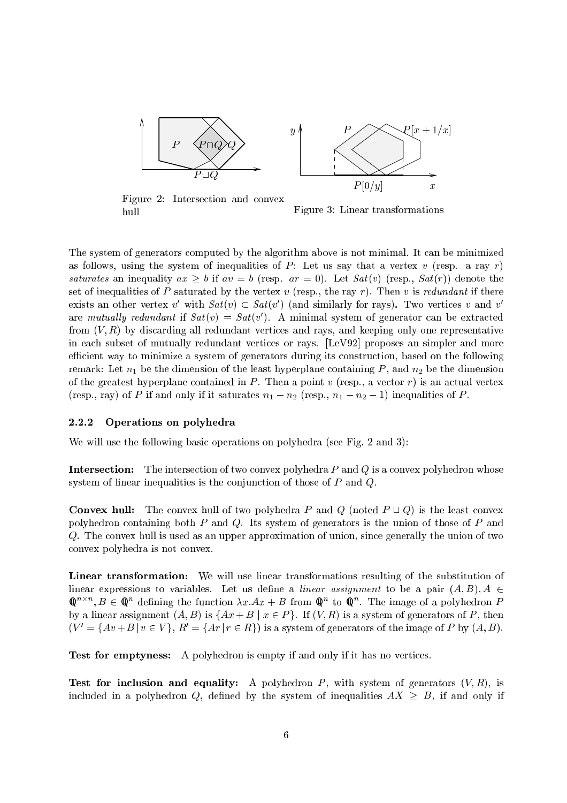



Figure 2: Intersection and convex hull

Figure 3: Linear transformations

The system of generators computed by the algorithm above is not minimal. It can be minimized as follows, using the system of inequalities of P: Let us say that a vertex v (resp. a ray r) saturates an inequality  $ax \ge b$  if  $av = b$  (resp.  $ar = 0$ ). Let  $Sat(v)$  (resp.,  $Sat(r)$ ) denote the set of inequalities of P saturated by the vertex v (resp., the ray r). Then v is redundant if there exists an other vertex  $v$  with  $Sat(v) \subseteq Sat(v)$  (and similarly for rays). Two vertices  $v$  and  $v$ are *mutually redundant* if  $Sat(v) = Sat(v)$ . A minimal system of generator can be extracted from  $(V, R)$  by discarding all redundant vertices and rays, and keeping only one representative in each subset of mutually redundant vertices or rays. [LeV92] proposes an simpler and more efficient way to minimize a system of generators during its construction, based on the following remark: Let  $n_1$  be the dimension of the least hyperplane containing P, and  $n_2$  be the dimension of the greatest hyperplane contained in  $P$ . Then a point  $v$  (resp., a vector  $r$ ) is an actual vertex (resp., ray) of P if and only if it saturates  $n_1 - n_2$  (resp.,  $n_1 - n_2 - 1$ ) inequalities of P.

#### 2.2.2 Operations on polyhedra

We will use the following basic operations on polyhedra (see Fig. 2 and 3):

Intersection: The intersection of two convex polyhedra P and Q is a convex polyhedron whose system of linear inequalities is the conjunction of those of P and Q.

**Convex hull:** The convex hull of two polyhedra P and Q (noted  $P \sqcup Q$ ) is the least convex polyhedron containing both P and Q. Its system of generators is the union of those of P and Q. The convex hull is used as an upper approximation of union, since generally the union of two convex polyhedra is not convex.

Linear transformation: We will use linear transformations resulting of the substitution of linear expressions to variables. Let us define a *linear assignment* to be a pair  $(A, B), A \in$  $\mathbb{Q}^{n \times n}, B \in \mathbb{Q}^n$  defining the function  $\lambda x \cdot Ax + B$  from  $\mathbb{Q}^n$  to  $\mathbb{Q}^n$ . The image of a polyhedron P by a linear assignment  $(A, B)$  is  $\{Ax + B \mid x \in P\}$ . If  $(V, R)$  is a system of generators of P, then  $(V' = \{Av + B | v \in V\}, R' = \{Ar | r \in R\})$  is a system of generators of the image of P by  $(A, B)$ .

Test for emptyness: A polyhedron is empty if and only if it has no vertices.

**Test for inclusion and equality:** A polyhedron P, with system of generators  $(V, R)$ , is included in a polyhedron Q, defined by the system of inequalities  $AX > B$ , if and only if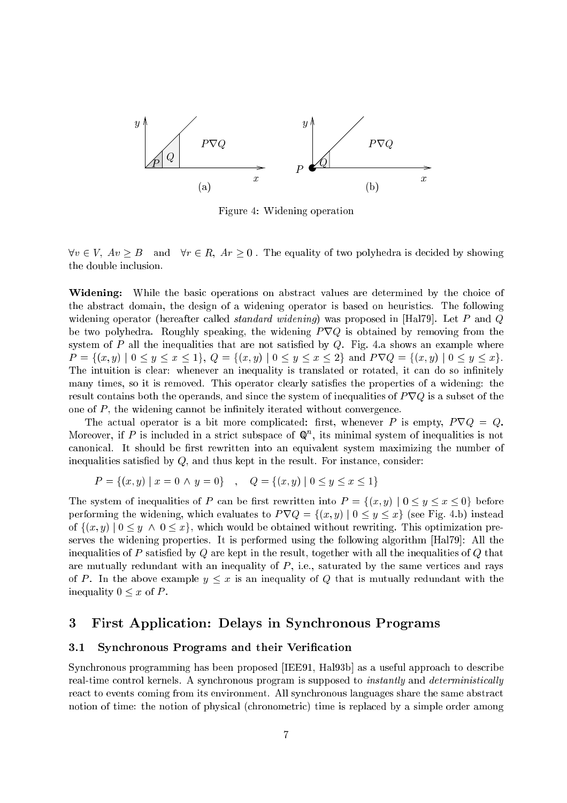

Figure 4: Widening operation

 $\forall v \in V, Av \geq B$  and  $\forall r \in R, Ar \geq 0$ . The equality of two polyhedra is decided by showing the double inclusion.

Widening: While the basic operations on abstract values are determined by the choice of the abstract domain, the design of a widening operator is based on heuristics. The following widening operator (hereafter called *standard widening*) was proposed in [Hal79]. Let P and Q be two polyhedra. Roughly speaking, the widening  $P \nabla Q$  is obtained by removing from the system of  $P$  all the inequalities that are not satisfied by  $Q$ . Fig. 4.a shows an example where  $P = \{(x, y) | 0 \le y \le x \le 1\}, Q = \{(x, y) | 0 \le y \le x \le 2\}$  and  $P \nabla Q = \{(x, y) | 0 \le y \le x\}.$ The intuition is clear: whenever an inequality is translated or rotated, it can do so infinitely many times, so it is removed. This operator clearly satisfies the properties of a widening: the result contains both the operands, and since the system of inequalities of  $P\nabla Q$  is a subset of the one of  $P$ , the widening cannot be infinitely iterated without convergence.

The actual operator is a bit more complicated: first, whenever P is empty,  $P \nabla Q = Q$ . Moreover, if P is included in a strict subspace of  $\mathbb{Q}^n$ , its minimal system of inequalities is not canonical. It should be first rewritten into an equivalent system maximizing the number of inequalities satisfied by  $Q$ , and thus kept in the result. For instance, consider:

$$
P = \{(x, y) \mid x = 0 \land y = 0\} \quad , \quad Q = \{(x, y) \mid 0 \le y \le x \le 1\}
$$

The system of inequalities of P can be first rewritten into  $P = \{(x, y) | 0 \le y \le x \le 0\}$  before performing the widening, which evaluates to  $P \nabla Q = \{(x, y) | 0 \le y \le x\}$  (see Fig. 4.b) instead of  $\{(x, y) | 0 \le y \land 0 \le x\}$ , which would be obtained without rewriting. This optimization preserves the widening properties. It is performed using the following algorithm [Hal79]: All the inequalities of P satisfied by  $Q$  are kept in the result, together with all the inequalities of  $Q$  that are mutually redundant with an inequality of  $P$ , i.e., saturated by the same vertices and rays of P. In the above example  $y \leq x$  is an inequality of Q that is mutually redundant with the inequality  $0 \leq x$  of P.

# 3 First Application: Delays in Synchronous Programs

#### 3.1 Synchronous Programs and their Verification

Synchronous programming has been proposed [IEE91, Hal93b] as a useful approach to describe real-time control kernels. A synchronous program is supposed to *instantly* and *deterministically* react to events coming from its environment. All synchronous languages share the same abstract notion of time: the notion of physical (chronometric) time is replaced by a simple order among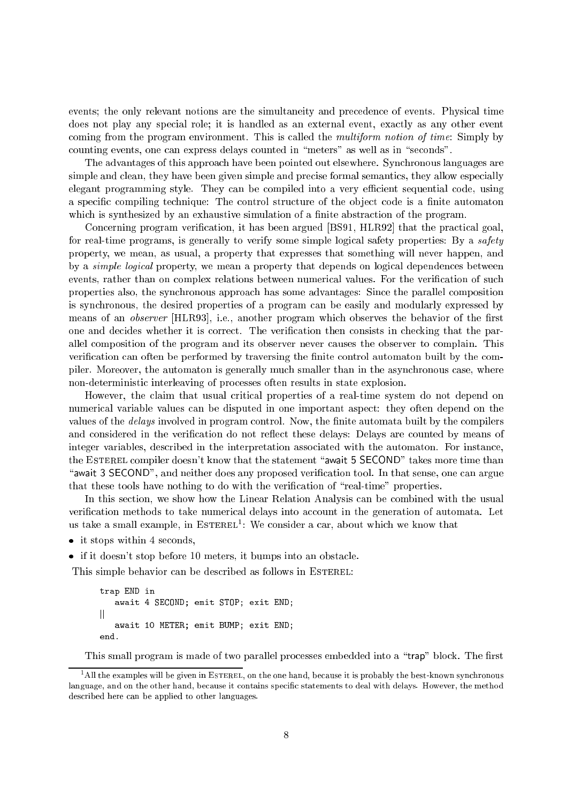events; the only relevant notions are the simultaneity and precedence of events. Physical time does not play any special role; it is handled as an external event, exactly as any other event coming from the program environment. This is called the multiform notion of time: Simply by counting events, one can express delays counted in "meters" as well as in "seconds".

The advantages of this approach have been pointed out elsewhere. Synchronous languages are simple and clean, they have been given simple and precise formal semantics, they allow especially elegant programming style. They can be compiled into a very efficient sequential code, using a specific compiling technique: The control structure of the object code is a finite automaton which is synthesized by an exhaustive simulation of a finite abstraction of the program.

Concerning program verification, it has been argued [BS91, HLR92] that the practical goal, for real-time programs, is generally to verify some simple logical safety properties: By a safety property, we mean, as usual, a property that expresses that something will never happen, and by a simple logical property, we mean a property that depends on logical dependences between events, rather than on complex relations between numerical values. For the verification of such properties also, the synchronous approach has some advantages: Since the parallel composition is synchronous, the desired properties of a program can be easily and modularly expressed by means of an *observer* [HLR93], i.e., another program which observes the behavior of the first one and decides whether it is correct. The verication then consists in checking that the parallel composition of the program and its observer never causes the observer to complain. This verification can often be performed by traversing the finite control automaton built by the compiler. Moreover, the automaton is generally much smaller than in the asynchronous case, where non-deterministic interleaving of processes often results in state explosion.

However, the claim that usual critical properties of a real-time system do not depend on numerical variable values can be disputed in one important aspect: they often depend on the values of the *delays* involved in program control. Now, the finite automata built by the compilers and considered in the verification do not reflect these delays: Delays are counted by means of integer variables, described in the interpretation associated with the automaton. For instance, the ESTEREL compiler doesn't know that the statement "await 5 SECOND" takes more time than "await 3 SECOND", and neither does any proposed verification tool. In that sense, one can argue that these tools have nothing to do with the verification of "real-time" properties.

In this section, we show how the Linear Relation Analysis can be combined with the usual verification methods to take numerical delays into account in the generation of automata. Let us take a small example, in  $\text{ESTEREL}^1$ : We consider a car, about which we know that

- it stops within 4 seconds,
- if it doesn't stop before 10 meters, it bumps into an obstacle.

This simple behavior can be described as follows in ESTEREL:

```
trap END in
   await 4 SECOND; emit STOP; exit END;
\parallelawait 10 METER; emit BUMP; exit END;
end.
```
This small program is made of two parallel processes embedded into a "trap" block. The first

<sup>1</sup> All the examples will be given in Esterel, on the one hand, because it is probably the best-known synchronous language, and on the other hand, because it contains specific statements to deal with delays. However, the method described here can be applied to other languages.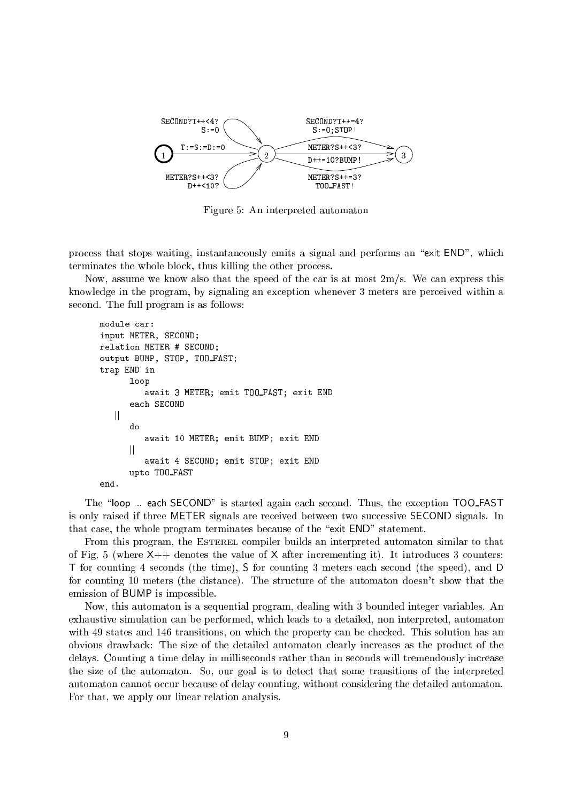

Figure 5: An interpreted automaton

process that stops waiting, instantaneously emits a signal and performs an "exit END", which terminates the whole block, thus killing the other process.

Now, assume we know also that the speed of the car is at most  $2m/s$ . We can express this knowledge in the program, by signaling an exception whenever 3 meters are perceived within a second. The full program is as follows:

```
module car:
input METER, SECOND;
relation METER # SECOND;
output BUMP, STOP, TOO_FAST;
trap END in
       loop
          await 3 METER; emit TOO FAST; exit END
      each SECOND
   \paralleldo
          await 10 METER; emit BUMP; exit END
      \mathbb{I}await 4 SECOND; emit STOP; exit END
      upto TOO FAST
end.
```
The "loop ... each SECOND" is started again each second. Thus, the exception TOO\_FAST is only raised if three METER signals are received between two successive SECOND signals. In that case, the whole program terminates because of the "exit END" statement.

From this program, the ESTEREL compiler builds an interpreted automaton similar to that of Fig. 5 (where  $X++$  denotes the value of X after incrementing it). It introduces 3 counters: T for counting 4 seconds (the time), S for counting 3 meters each second (the speed), and D for counting 10 meters (the distance). The structure of the automaton doesn't show that the emission of BUMP is impossible.

Now, this automaton is a sequential program, dealing with 3 bounded integer variables. An exhaustive simulation can be performed, which leads to a detailed, non interpreted, automaton with 49 states and 146 transitions, on which the property can be checked. This solution has an obvious drawback: The size of the detailed automaton clearly increases as the product of the delays. Counting a time delay in milliseconds rather than in seconds will tremendously increase the size of the automaton. So, our goal is to detect that some transitions of the interpreted automaton cannot occur because of delay counting, without considering the detailed automaton. For that, we apply our linear relation analysis.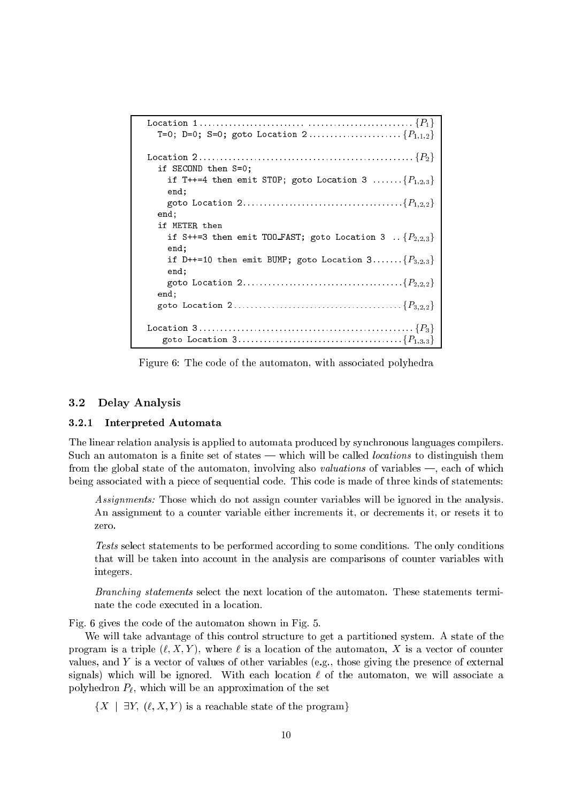```
Location 1 \ldots : \ldots : \ldots : \ldots : \ldots : \ldots : \ldots : \ldots : \{P_1\}T=0; D=0; S=0; goto Location 2 \ldots : \ldots : \{P_{1,1,2}\}Location 2 : : : : : : : : : : : : : : : : : : : : : : : : : : : : : : : : : : : : : : : : : : : : : : : : : : : fP2g
   if SECOND then S=0;
       if T++=4 then emit STOP; goto Location 3 \ldots \ldots \{P_{1,2,3}\}end;
       goto Location 2 : : : : : : : : : : : : : : : : : : : : : : : : : : : : : : : : : : : : : : fP1;2;2g
    end:end;
   if METER then
       if S++=3 then emit TOO_FAST; goto Location 3 \ldots {P_{2,2,3}}
       end:
       endo a contra de la contra de la contra de la contra de la contra de la contra de la contra de la contra de la
       if D++=10 then emit BUMP; goto Location 3 \ldots \ldots \{P_{3,2,3}\}end;
       goto Location 2 : : : : : : : : : : : : : : : : : : : : : : : : : : : : : : : : : : : : : : fP2;2;2g
    end;
   goto Location 2 : : : : : : : : : : : : : : : : : : : : : : : : : : : : : : : : : : : : : : : : fP3;2;2g
Location 3 : : : : : : : : : : : : : : : : : : : : : : : : : : : : : : : : : : : : : : : : : : : : : : : : : : : fP3g
     goto Location 3 : : : : : : : : : : : : : : : : : : : : : : : : : : : : : : : : : : : : : : : fP1;3;3g
```
Figure 6: The code of the automaton, with associated polyhedra

#### Delay Analysis 3.2

### 3.2.1 Interpreted Automata

The linear relation analysis is applied to automata produced by synchronous languages compilers. Such an automaton is a finite set of states — which will be called *locations* to distinguish them from the global state of the automaton, involving also *valuations* of variables  $-$ , each of which being associated with a piece of sequential code. This code is made of three kinds of statements:

Assignments: Those which do not assign counter variables will be ignored in the analysis. An assignment to a counter variable either increments it, or decrements it, or resets it to zero.

Tests select statements to be performed according to some conditions. The only conditions that will be taken into account in the analysis are comparisons of counter variables with integers.

Branching statements select the next location of the automaton. These statements terminate the code executed in a location.

Fig. 6 gives the code of the automaton shown in Fig. 5.

We will take advantage of this control structure to get a partitioned system. A state of the program is a triple  $(\ell, X, Y)$ , where  $\ell$  is a location of the automaton, X is a vector of counter values, and Y is a vector of values of other variables (e.g., those giving the presence of external signals) which will be ignored. With each location  $\ell$  of the automaton, we will associate a polyhedron  $P_\ell$ , which will be an approximation of the set

 $\{X \mid \exists Y, (\ell, X, Y) \text{ is a reachable state of the program}\}\$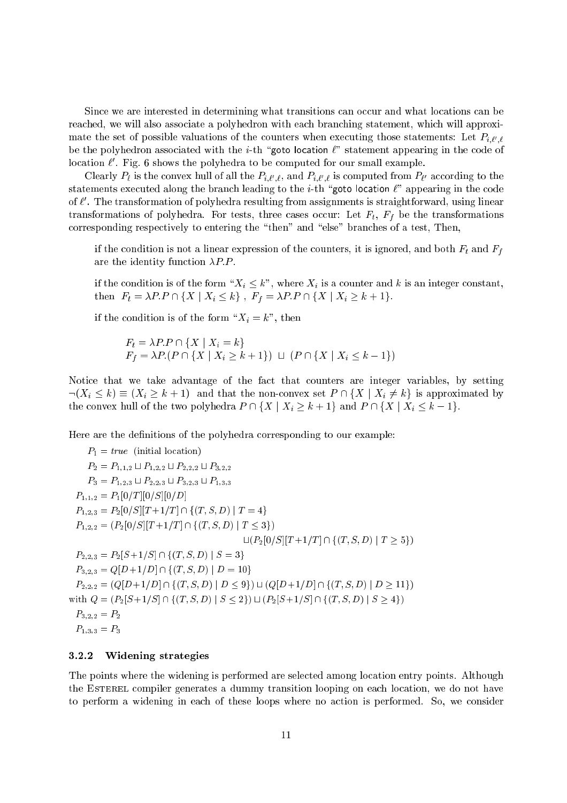Since we are interested in determining what transitions can occur and what locations can be reached, we will also associate a polyhedron with each branching statement, which will approximate the set of possible valuations of the counters when executing those statements: Let  $P_{i,\ell',\ell}$ be the polyhedron associated with the *i*-th "goto location  $\ell$ " statement appearing in the code of location  $\ell'$ . Fig. 6 shows the polyhedra to be computed for our small example.

Clearly  $P_\ell$  is the convex hull of all the  $P_{i,\ell',\ell}$ , and  $P_{i,\ell',\ell}$  is computed from  $P_{\ell'}$  according to the statements executed along the branch leading to the *i*-th "goto location  $\ell$ " appearing in the code of  $\ell'$ . The transformation of polyhedra resulting from assignments is straightforward, using linear transformations of polyhedra. For tests, three cases occur: Let  $F_t$ ,  $F_f$  be the transformations corresponding respectively to entering the "then" and "else" branches of a test, Then,

if the condition is not a linear expression of the counters, it is ignored, and both  $F_t$  and  $F_f$ are the identity function  $\lambda P.P$ .

if the condition is of the form " $X_i \leq k$ ", where  $X_i$  is a counter and k is an integer constant, then  $F_t = \lambda P \cap \{X \mid X_i \leq k\}$ ,  $F_f = \lambda P \cap \{X \mid X_i \geq k + 1\}.$ 

if the condition is of the form " $X_i = k$ ", then

$$
F_t = \lambda P \cap \{X \mid X_i = k\}
$$
  
\n
$$
F_f = \lambda P \cap \{X \mid X_i \ge k+1\} \cup (P \cap \{X \mid X_i \le k-1\})
$$

Notice that we take advantage of the fact that counters are integer variables, by setting  $\neg(X_i \leq k) \equiv (X_i \geq k + 1)$  and that the non-convex set  $P \cap \{X \mid X_i \neq k\}$  is approximated by the convex hull of the two polyhedra  $P \cap \{X \mid X_i \ge k + 1\}$  and  $P \cap \{X \mid X_i \le k - 1\}.$ 

Here are the definitions of the polyhedra corresponding to our example:

 $P_1 = true$  (initial location)  $P_2 = P_{1,1,2} \sqcup P_{1,2,2} \sqcup P_{2,2,2} \sqcup P_{3,2,2}$  $P_3 = P_{1,2,3} \sqcup P_{2,2,3} \sqcup P_{3,2,3} \sqcup P_{1,3,3}$  $P_{1,1,2} = P_1[0/T][0/S][0/D]$  $P_{1,2,3} = P_2[0/S][T+1/T] \cap \{(T, S, D) | T = 4\}$  $P_{1,2,2} = (P_2[0/S][T+1/T] \cap \{(T, S, D) | T \leq 3\})$  $L(P_2[0/S][T+1/T] \cap \{ (T, S, D) \mid T \ge 5 \})$  $P_{2,2,3} = P_2[S+1/S] \cap \{(T, S, D) \mid S = 3\}$  $P_{3,2,3} = Q[D+1/D] \cap \{ (T, S, D) \mid D = 10 \}$  $P_{2,2,2} = (Q[D+1/D] \cap \{(T, S, D) | D \le 9\}) \sqcup (Q[D+1/D] \cap \{(T, S, D) | D \ge 11\})$ with  $Q = (P_2[S+1/S] \cap \{(T, S, D) \mid S \le 2\}) \sqcup (P_2[S+1/S] \cap \{(T, S, D) \mid S \ge 4\})$  $P_{3,2,2} = P_2$  $P_{1,3,3} = P_3$ 

### 3.2.2 Widening strategies

The points where the widening is performed are selected among location entry points. Although the ESTEREL compiler generates a dummy transition looping on each location, we do not have to perform a widening in each of these loops where no action is performed. So, we consider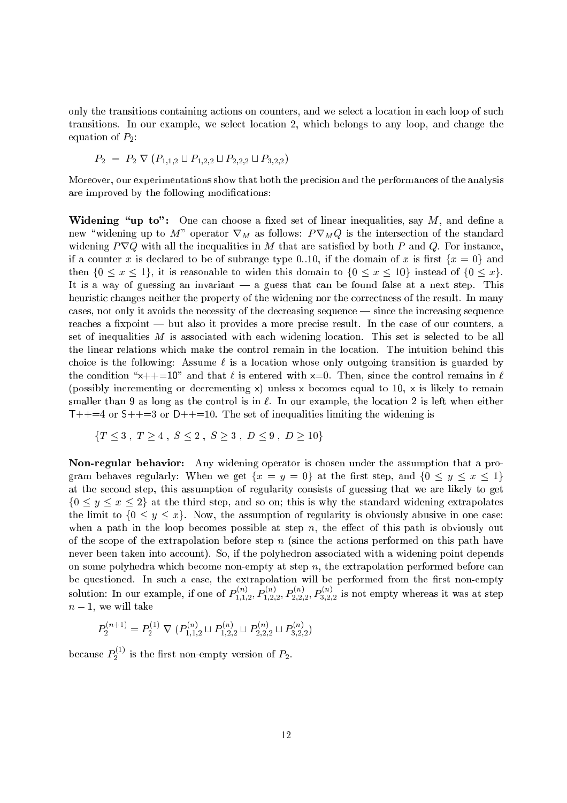only the transitions containing actions on counters, and we select a location in each loop of such transitions. In our example, we select location 2, which belongs to any loop, and change the equation of  $P_2$ :

$$
P_2 = P_2 \nabla (P_{1,1,2} \sqcup P_{1,2,2} \sqcup P_{2,2,2} \sqcup P_{3,2,2})
$$

Moreover, our experimentations show that both the precision and the performances of the analysis are improved by the following modifications:

**Widening "up to":** One can choose a fixed set of linear inequalities, say  $M$ , and define a new "widening up to M" operator  $\nabla_M$  as follows:  $P \nabla_M Q$  is the intersection of the standard widening  $P\nabla Q$  with all the inequalities in M that are satisfied by both P and Q. For instance, if a counter x is declared to be of subrange type 0..10, if the domain of x is first  $\{x=0\}$  and then  $\{0 \le x \le 1\}$ , it is reasonable to widen this domain to  $\{0 \le x \le 10\}$  instead of  $\{0 \le x\}$ . It is a way of guessing an invariant  $-$  a guess that can be found false at a next step. This heuristic changes neither the property of the widening nor the correctness of the result. In many cases, not only it avoids the necessity of the decreasing sequence — since the increasing sequence reaches a fixpoint — but also it provides a more precise result. In the case of our counters, a set of inequalities  $M$  is associated with each widening location. This set is selected to be all the linear relations which make the control remain in the location. The intuition behind this choice is the following: Assume  $\ell$  is a location whose only outgoing transition is guarded by the condition " $x++=10$ " and that  $\ell$  is entered with  $x=0$ . Then, since the control remains in  $\ell$ (possibly incrementing or decrementing x) unless x becomes equal to 10, x is likely to remain smaller than 9 as long as the control is in  $\ell$ . In our example, the location 2 is left when either  $T_{++}=4$  or  $S_{++}=3$  or  $D_{++}=10$ . The set of inequalities limiting the widening is

$$
\{T \le 3 \;,\; T \ge 4 \;,\; S \le 2 \;,\; S \ge 3 \;,\; D \le 9 \;,\; D \ge 10\}
$$

Non-regular behavior: Any widening operator is chosen under the assumption that a program behaves regularly: When we get  $\{x = y = 0\}$  at the first step, and  $\{0 \le y \le x \le 1\}$ at the second step, this assumption of regularity consists of guessing that we are likely to get  ${0 \le y \le x \le 2}$  at the third step, and so on; this is why the standard widening extrapolates the limit to  $\{0 \le y \le x\}$ . Now, the assumption of regularity is obviously abusive in one case: when a path in the loop becomes possible at step  $n$ , the effect of this path is obviously out of the scope of the extrapolation before step  $n$  (since the actions performed on this path have never been taken into account). So, if the polyhedron associated with a widening point depends on some polyhedra which become non-empty at step  $n$ , the extrapolation performed before can be questioned. In such a case, the extrapolation will be performed from the first non-empty solution: In our example, if one of  $P_{1,1,2}^{(n)}, P_{1,2,2}^{(n)}, P_{2,2,2}^{(n)}, P_{3,2,2}^{(n)}$  is not empty whereas it was at step  $n - 1$ , we will take

$$
P_2^{(n+1)} = P_2^{(1)} \nabla (P_{1,1,2}^{(n)} \sqcup P_{1,2,2}^{(n)} \sqcup P_{2,2,2}^{(n)} \sqcup P_{3,2,2}^{(n)})
$$

because  $P_2^{(1)}$  is the first non-empty version of  $P_2$ .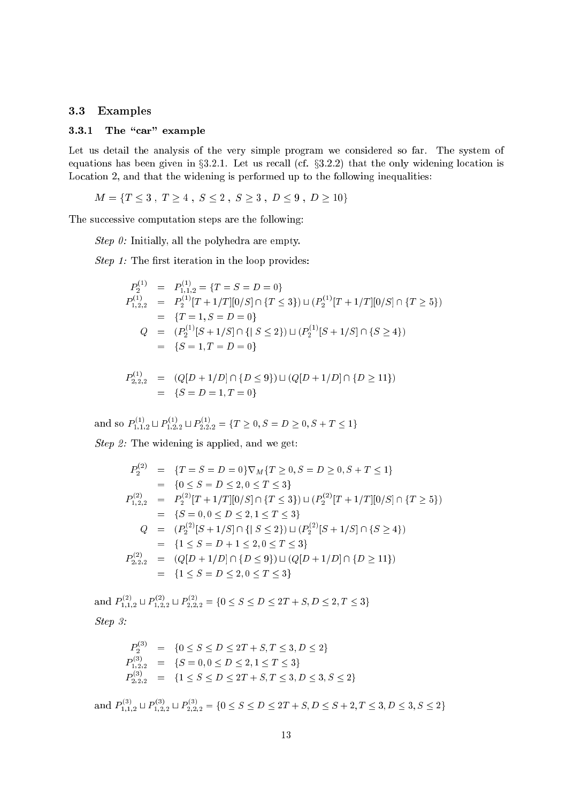### 3.3 Examples

# 3.3.1 The "car" example

Let us detail the analysis of the very simple program we considered so far. The system of equations has been given in  $\S 3.2.1$ . Let us recall (cf.  $\S 3.2.2$ ) that the only widening location is Location 2, and that the widening is performed up to the following inequalities:

 $M = \{T \le 3, T \ge 4, S \le 2, S \ge 3, D \le 9, D \ge 10\}$ 

The successive computation steps are the following:

Step 0: Initially, all the polyhedra are empty.

Step 1: The first iteration in the loop provides:

$$
P_2^{(1)} = P_{1,1,2}^{(1)} = \{T = S = D = 0\}
$$
  
\n
$$
P_{1,2,2}^{(1)} = P_2^{(1)}[T + 1/T][0/S] \cap \{T \le 3\} \cup (P_2^{(1)}[T + 1/T][0/S] \cap \{T \ge 5\})
$$
  
\n
$$
= \{T = 1, S = D = 0\}
$$
  
\n
$$
Q = (P_2^{(1)}[S + 1/S] \cap \{|S \le 2\} \cup (P_2^{(1)}[S + 1/S] \cap \{S \ge 4\})
$$
  
\n
$$
= \{S = 1, T = D = 0\}
$$

$$
P_{2,2,2}^{(1)} = (Q[D+1/D] \cap \{D \le 9\}) \sqcup (Q[D+1/D] \cap \{D \ge 11\})
$$
  
= 
$$
\{S = D = 1, T = 0\}
$$

and so  $P_{1,1,2} \sqcup P_{1,2,2} \sqcup P_{2,2,2} = \{T \geq 0, S = D \geq 0, S + T \leq 1\}$ 

Step 2: The widening is applied, and we get:

$$
P_2^{(2)} = \{T = S = D = 0\} \nabla_M \{T \ge 0, S = D \ge 0, S + T \le 1\}
$$
  
\n
$$
= \{0 \le S = D \le 2, 0 \le T \le 3\}
$$
  
\n
$$
P_{1,2,2}^{(2)} = P_2^{(2)} [T + 1/T][0/S] \cap \{T \le 3\} \cup (P_2^{(2)} [T + 1/T][0/S] \cap \{T \ge 5\})
$$
  
\n
$$
= \{S = 0, 0 \le D \le 2, 1 \le T \le 3\}
$$
  
\n
$$
Q = (P_2^{(2)} [S + 1/S] \cap \{S \le 2\} \cup (P_2^{(2)} [S + 1/S] \cap \{S \ge 4\})
$$
  
\n
$$
= \{1 \le S = D + 1 \le 2, 0 \le T \le 3\}
$$
  
\n
$$
P_{2,2,2}^{(2)} = (Q[D + 1/D] \cap \{D \le 9\} \cup (Q[D + 1/D] \cap \{D \ge 11\})
$$
  
\n
$$
= \{1 \le S = D \le 2, 0 \le T \le 3\}
$$

and  $P_{1,1,2}^{*1}* \sqcup P_{1,2,2}^{*2}* \sqcup P_{2,2,2}^{*2*} = \{0 \leq S \leq D \leq 2T + S, D \leq 2, T \leq 3\}$ Step 3:

$$
P_2^{(3)} = \{0 \le S \le D \le 2T + S, T \le 3, D \le 2\}
$$
  
\n
$$
P_{1,2,2}^{(3)} = \{S = 0, 0 \le D \le 2, 1 \le T \le 3\}
$$
  
\n
$$
P_{2,2,2}^{(3)} = \{1 \le S \le D \le 2T + S, T \le 3, D \le 3, S \le 2\}
$$

and  $P_{1,1,2}^{1,2} \sqcup P_{1,2,2}^{1,2} \sqcup P_{2,2,2}^{1,2} = \{0 \leq S \leq D \leq 2T + S, D \leq S + 2, T \leq 3, D \leq 3, S \leq 2\}$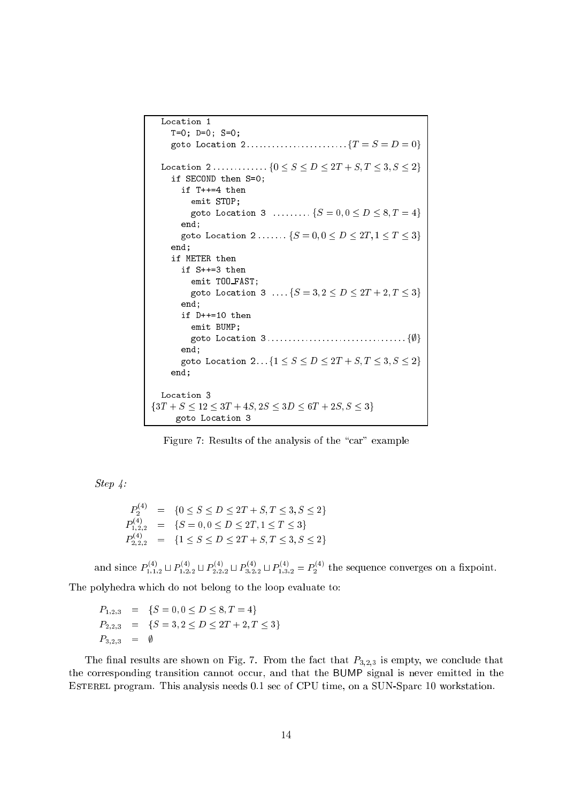Location 1 T=0; D=0; S=0; goto Location 2 : : : : : : : : : : : : : : : : : : : : : : : : fT = <sup>S</sup> = <sup>D</sup> = 0g Location 2  $\ldots$  :  $\{0 \leq S \leq D \leq 2T + S, T \leq 3, S \leq 2\}$ if SECOND then S=0; if T++=4 then emit STOP; goto Location 3  $\ldots \ldots \quad \{S = 0, 0 \le D \le 8, T = 4\}$ end; goto Location 2 ......  $\{S = 0, 0 \le D \le 2T, 1 \le T \le 3\}$ end; if METER then if S++=3 then emit TOO FAST; goto Location 3  $\{S = 3, 2 \le D \le 2T + 2, T \le 3\}$ end; if D++=10 then emit BUMP; goto Location  $3 \ldots \ldots \ldots \ldots \ldots \ldots \ldots \ldots \ldots \{ \emptyset \}$ end; goto Location 2  $\{1 \leq S \leq D \leq 2T + S, T \leq 3, S \leq 2\}$ end; Location 3  ${3T + S \le 12 \le 3T + 4S, 2S \le 3D \le 6T + 2S, S \le 3}$ goto Location 3

Figure 7: Results of the analysis of the "car" example

Step 4:

$$
P_2^{(4)} = \{0 \le S \le D \le 2T + S, T \le 3, S \le 2\}
$$
  
\n
$$
P_{1,2,2}^{(4)} = \{S = 0, 0 \le D \le 2T, 1 \le T \le 3\}
$$
  
\n
$$
P_{2,2,2}^{(4)} = \{1 \le S \le D \le 2T + S, T \le 3, S \le 2\}
$$

and since  $P_{1,1,2}^{3} \sqcup P_{1,2,2}^{3} \sqcup P_{2,2,2}^{3} \sqcup P_{3,2,2}^{3} \sqcup P_{1,3,2}^{3} = P_2^{3}$  the sequence converges on a fixpoint. The polyhedra which do not belong to the loop evaluate to:

 $P_{1,2,3} = \{S = 0, 0 \le D \le 8, T = 4\}$  $P_{2,2,3} = \{S = 3, 2 \leq D \leq 2T + 2, T \leq 3\}$  $P_{3,2,3} = \emptyset$ 

The final results are shown on Fig. 7. From the fact that  $P_{3,2,3}$  is empty, we conclude that the corresponding transition cannot occur, and that the BUMP signal is never emitted in the Esterel program. This analysis needs 0.1 sec of CPU time, on a SUN-Sparc 10 workstation.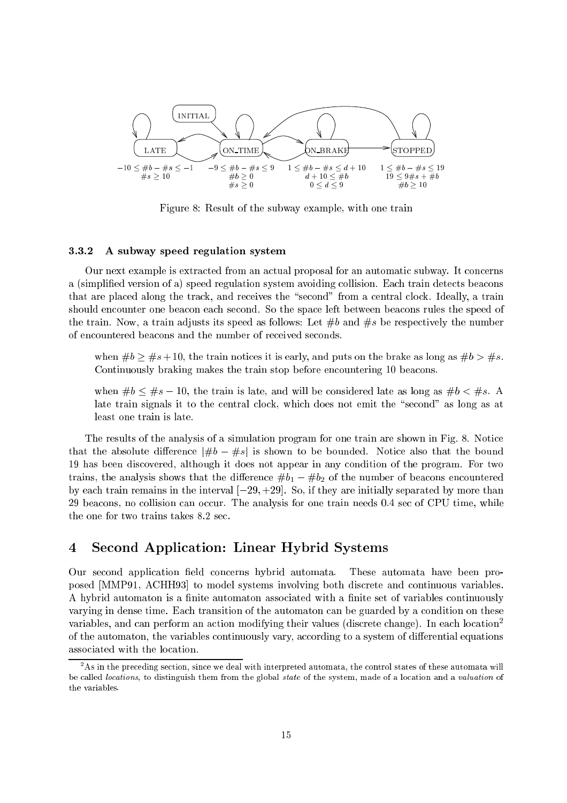

Figure 8: Result of the subway example, with one train

#### 3.3.2 A subway speed regulation system

Our next example is extracted from an actual proposal for an automatic subway. It concerns a (simplied version of a) speed regulation system avoiding collision. Each train detects beacons that are placed along the track, and receives the "second" from a central clock. Ideally, a train should encounter one beacon each second. So the space left between beacons rules the speed of the train. Now, a train adjusts its speed as follows: Let  $\#b$  and  $\#s$  be respectively the number of encountered beacons and the number of received seconds.

when  $\#b > \#s + 10$ , the train notices it is early, and puts on the brake as long as  $\#b > \#s$ . Continuously braking makes the train stop before encountering 10 beacons.

when  $#b \leq #s - 10$ , the train is late, and will be considered late as long as  $#b < #s$ . A late train signals it to the central clock, which does not emit the "second" as long as at least one train is late.

The results of the analysis of a simulation program for one train are shown in Fig. 8. Notice that the absolute difference  $\vert \#b - \#s \vert$  is shown to be bounded. Notice also that the bound 19 has been discovered, although it does not appear in any condition of the program. For two trains, the analysis shows that the difference  $#b_1 - #b_2$  of the number of beacons encountered by each train remains in the interval  $[-29, +29]$ . So, if they are initially separated by more than 29 beacons, no collision can occur. The analysis for one train needs 0.4 sec of CPU time, while the one for two trains takes 8.2 sec.

# 4 Second Application: Linear Hybrid Systems

Our second application field concerns hybrid automata. These automata have been proposed [MMP91, ACHH93] to model systems involving both discrete and continuous variables. A hybrid automaton is a finite automaton associated with a finite set of variables continuously varying in dense time. Each transition of the automaton can be guarded by a condition on these variables, and can perform an action modifying their values (discrete change). In each location<sup>2</sup> of the automaton, the variables continuously vary, according to a system of differential equations associated with the location.

<sup>2</sup> As in the preceding section, since we deal with interpreted automata, the control states of these automata will be called locations, to distinguish them from the global state of the system, made of a location and a valuation of the variables.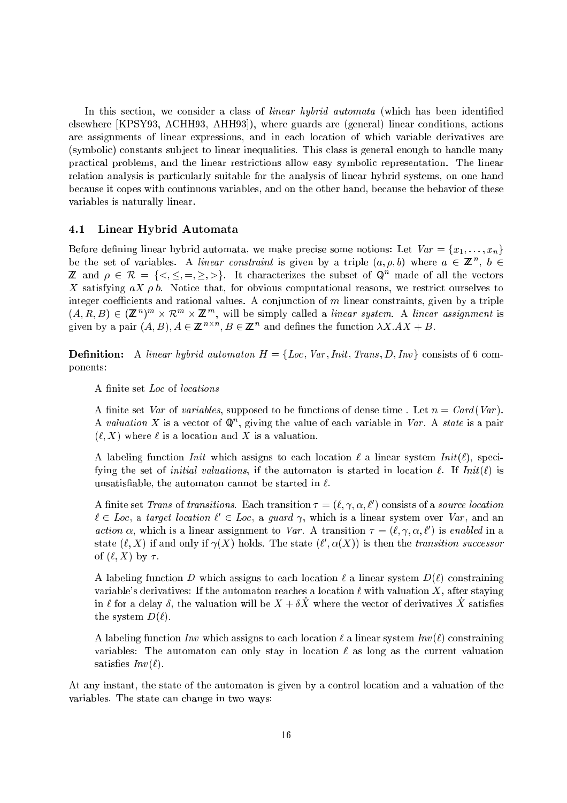In this section, we consider a class of *linear hybrid automata* (which has been identified elsewhere [KPSY93, ACHH93, AHH93]), where guards are (general) linear conditions, actions are assignments of linear expressions, and in each location of which variable derivatives are (symbolic) constants subject to linear inequalities. This class is general enough to handle many practical problems, and the linear restrictions allow easy symbolic representation. The linear relation analysis is particularly suitable for the analysis of linear hybrid systems, on one hand because it copes with continuous variables, and on the other hand, because the behavior of these variables is naturally linear.

### 4.1 Linear Hybrid Automata

Before defining linear hybrid automata, we make precise some notions: Let  $Var = \{x_1, \ldots, x_n\}$ be the set of variables. A *linear constraint* is given by a triple  $(a, \rho, b)$  where  $a \in \mathbb{Z}^n$ ,  $b \in$  $\mathbb{Z}$  and  $\rho \in \mathcal{R} = \{ \langle \xi, \xi, =, \xi \rangle \}$ . It characterizes the subset of  $\mathbb{Q}^n$  made of all the vectors X satisfying  $aX \rho b$ . Notice that, for obvious computational reasons, we restrict ourselves to integer coefficients and rational values. A conjunction of  $m$  linear constraints, given by a triple  $(A, R, B) \in (\mathbb{Z}^n)^m \times \mathbb{Z}^m \times \mathbb{Z}^m$ , will be simply called a *linear system.* A *linear assignment* is given by a pair  $(A, B), A \in \mathbb{Z}^{n \times n}, B \in \mathbb{Z}^n$  and defines the function  $\lambda X.AX + B$ .

**Definition:** A linear hybrid automaton  $H = \{Loc, Var, Init, Trans, D, Inv\}$  consists of 6 components:

A finite set Loc of locations

A finite set Var of variables, supposed to be functions of dense time. Let  $n = Card(Var)$ . A valuation X is a vector of  $\mathbb{Q}^n$ , giving the value of each variable in Var. A state is a pair  $(\ell, X)$  where  $\ell$  is a location and X is a valuation.

A labeling function Init which assigns to each location  $\ell$  a linear system Init( $\ell$ ), specifying the set of *initial valuations*, if the automaton is started in location  $\ell$ . If  $Init(\ell)$  is unsatisfiable, the automaton cannot be started in  $\ell$ .

A finite set Trans of transitions. Each transition  $\tau = (\ell, \gamma, \alpha, \ell')$  consists of a source location  $\ell \in Loc$ , a target location  $\ell' \in Loc$ , a guard  $\gamma$ , which is a linear system over Var, and an action  $\alpha$ , which is a linear assignment to Var. A transition  $\tau = (\ell, \gamma, \alpha, \ell')$  is enabled in a state  $(\ell, X)$  if and only if  $\gamma(X)$  holds. The state  $(\ell', \alpha(X))$  is then the transition successor of  $(\ell, X)$  by  $\tau$ .

A labeling function D which assigns to each location  $\ell$  a linear system  $D(\ell)$  constraining variable's derivatives: If the automaton reaches a location  $\ell$  with valuation X, after staying in  $\ell$  for a delay  $\delta$ , the valuation will be  $X + \delta X$  where the vector of derivatives X satisfies the system  $D(\ell)$ .

A labeling function Inv which assigns to each location  $\ell$  a linear system Inv ( $\ell$ ) constraining variables: The automaton can only stay in location  $\ell$  as long as the current valuation satisfies  $Inv(\ell)$ .

At any instant, the state of the automaton is given by a control location and a valuation of the variables. The state can change in two ways: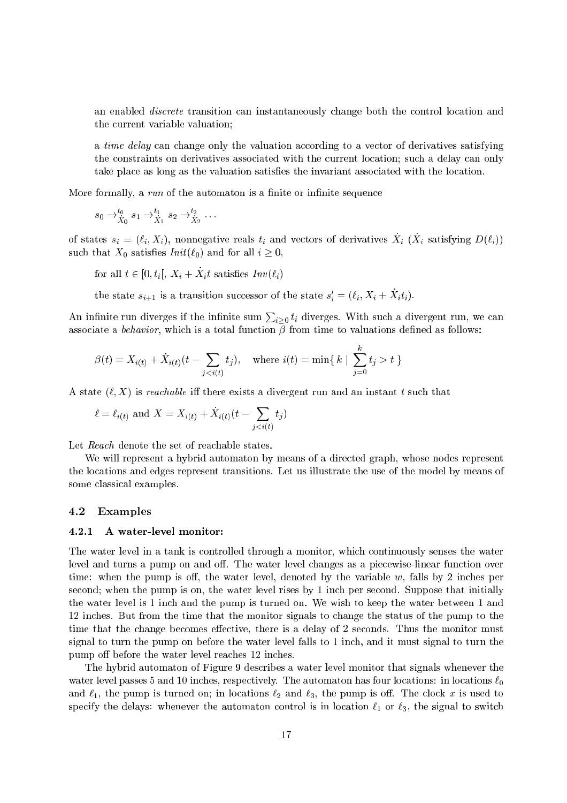an enabled discrete transition can instantaneously change both the control location and the current variable valuation;

a time delay can change only the valuation according to a vector of derivatives satisfying the constraints on derivatives associated with the current location; such a delay can only take place as long as the valuation satises the invariant associated with the location.

More formally, a run of the automaton is a finite or infinite sequence

$$
s_0 \to_{\overset{t_0}{X}_0}^{t_0} s_1 \to_{\overset{t_1}{X}_1}^{t_1} s_2 \to_{\overset{t_2}{X}_2}^{t_2} \ldots
$$

of states  $s_i = (\ell_i, X_i)$ , nonnegative reals  $t_i$  and vectors of derivatives  $X_i$  ( $X_i$  satisfying  $D(\ell_i)$ ) such that  $X_0$  satisfies  $Init(\ell_0)$  and for all  $i \geq 0$ ,

for all  $t \in [0, t_i], X_i + X_i t$  satisfies  $Inv(\ell_i)$ 

the state  $s_{i+1}$  is a transition successor of the state  $s_i' = (\ell_i, X_i + X_i t_i)$ .

An infinite run diverges if the infinite sum  $\sum_{i>0} t_i$  diverges. With such a divergent run, we can associate a *behavior*, which is a total function  $\beta$  from time to valuations defined as follows:

$$
\beta(t) = X_{i(t)} + \dot{X}_{i(t)}(t - \sum_{j < i(t)} t_j), \quad \text{where } i(t) = \min\{k \mid \sum_{j=0}^k t_j > t\}
$$

A state  $(\ell, X)$  is reachable iff there exists a divergent run and an instant t such that

$$
\ell = \ell_{i(t)}
$$
 and  $X = X_{i(t)} + \dot{X}_{i(t)}(t - \sum_{j < i(t)} t_j)$ 

Let Reach denote the set of reachable states.

We will represent a hybrid automaton by means of a directed graph, whose nodes represent the locations and edges represent transitions. Let us illustrate the use of the model by means of some classical examples.

### 4.2 Examples

#### 4.2.1 A water-level monitor:

The water level in a tank is controlled through a monitor, which continuously senses the water level and turns a pump on and off. The water level changes as a piecewise-linear function over time: when the pump is off, the water level, denoted by the variable  $w$ , falls by 2 inches per second; when the pump is on, the water level rises by 1 inch per second. Suppose that initially the water level is 1 inch and the pump is turned on. We wish to keep the water between 1 and 12 inches. But from the time that the monitor signals to change the status of the pump to the time that the change becomes effective, there is a delay of 2 seconds. Thus the monitor must signal to turn the pump on before the water level falls to 1 inch, and it must signal to turn the pump off before the water level reaches 12 inches.

The hybrid automaton of Figure 9 describes a water level monitor that signals whenever the water level passes 5 and 10 inches, respectively. The automaton has four locations: in locations  $\ell_0$ and  $\ell_1$ , the pump is turned on; in locations  $\ell_2$  and  $\ell_3$ , the pump is off. The clock x is used to specify the delays: whenever the automaton control is in location  $\ell_1$  or  $\ell_3$ , the signal to switch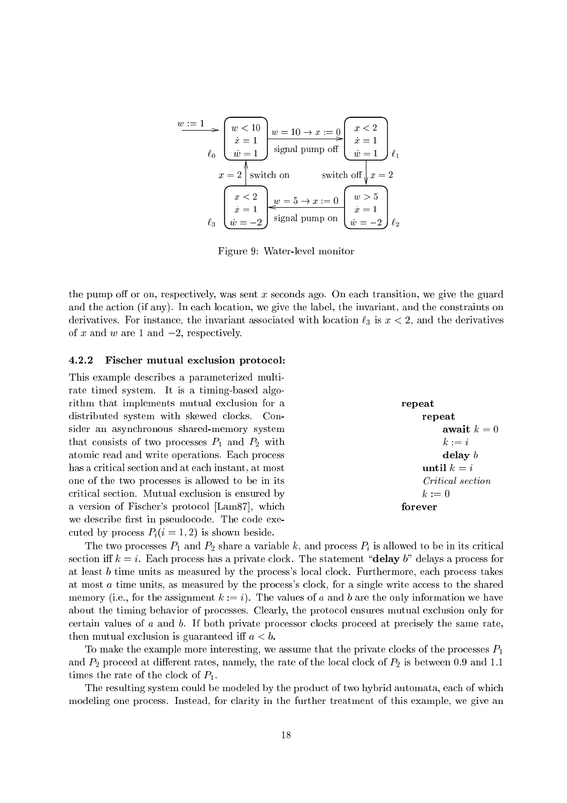$$
w := 1
$$
\n
$$
\ell_0
$$
\n
$$
\begin{array}{r}\n\text{where } w < 10 \\
\hline\n\ddot{x} < 1 \\
\hline\nw < 10\n\end{array}
$$
\n
$$
w = 10 \rightarrow x := 0
$$
\n
$$
\begin{array}{r}\n\ddot{x} < 2 \\
\hline\n\ddot{x} < 1 \\
\hline\nw < 1\n\end{array}
$$
\n
$$
x = 2
$$
\n
$$
\begin{array}{r}\n\text{switch on} \\
\hline\nx < 2 \\
\hline\n\ddot{x} < 1 \\
\hline\n\ddot{x} < 1\n\end{array}
$$
\n
$$
w = 5 \rightarrow x := 0
$$
\n
$$
\begin{array}{r}\n\text{switch off} & x = 2 \\
\hline\n\ddot{x} < 1 \\
\hline\n\ddot{x} < 1\n\end{array}
$$
\n
$$
\ell_3
$$
\n
$$
\begin{array}{r}\n\text{with one} \\
\hline\n\ddot{x} < 1 \\
\hline\n\ddot{y} < 1\n\end{array}
$$
\n
$$
\text{signal pump on } \begin{array}{r}\n\text{with one} \\
\hline\n\ddot{y} < 1 \\
\hline\n\ddot{y} < 1\n\end{array}
$$

Figure 9: Water-level monitor

the pump of or on, respectively, was sent x seconds ago. On each transition, we give the guard and the action (if any). In each location, we give the label, the invariant, and the constraints on derivatives. For instance, the invariant associated with location  $\ell_3$  is  $x < 2$ , and the derivatives of x and w are 1 and  $-2$ , respectively.

#### 4.2.2 Fischer mutual exclusion protocol:

This example describes a parameterized multirate timed system. It is a timing-based algorithm that implements mutual exclusion for a distributed system with skewed clocks. Consider an asynchronous shared-memory system that consists of two processes  $P_1$  and  $P_2$  with atomic read and write operations. Each process has a critical section and at each instant, at most one of the two processes is allowed to be in its critical section. Mutual exclusion is ensured by a version of Fischer's protocol [Lam87], which we describe first in pseudocode. The code executed by process  $P_i(i = 1, 2)$  is shown beside.



The two processes  $P_1$  and  $P_2$  share a variable k, and process  $P_i$  is allowed to be in its critical section iff  $k = i$ . Each process has a private clock. The statement "**delay** b" delays a process for at least b time units as measured by the process's local clock. Furthermore, each process takes at most <sup>a</sup> time units, as measured by the process's clock, for a single write access to the shared memory (i.e., for the assignment  $k := i$ ). The values of a and b are the only information we have about the timing behavior of processes. Clearly, the protocol ensures mutual exclusion only for certain values of <sup>a</sup> and b. If both private processor clocks proceed at precisely the same rate, then mutual exclusion is guaranteed iff  $a < b$ .

To make the example more interesting, we assume that the private clocks of the processes  $P_1$ and  $P_2$  proceed at different rates, namely, the rate of the local clock of  $P_2$  is between 0.9 and 1.1 times the rate of the clock of  $P_1$ .

The resulting system could be modeled by the product of two hybrid automata, each of which modeling one process. Instead, for clarity in the further treatment of this example, we give an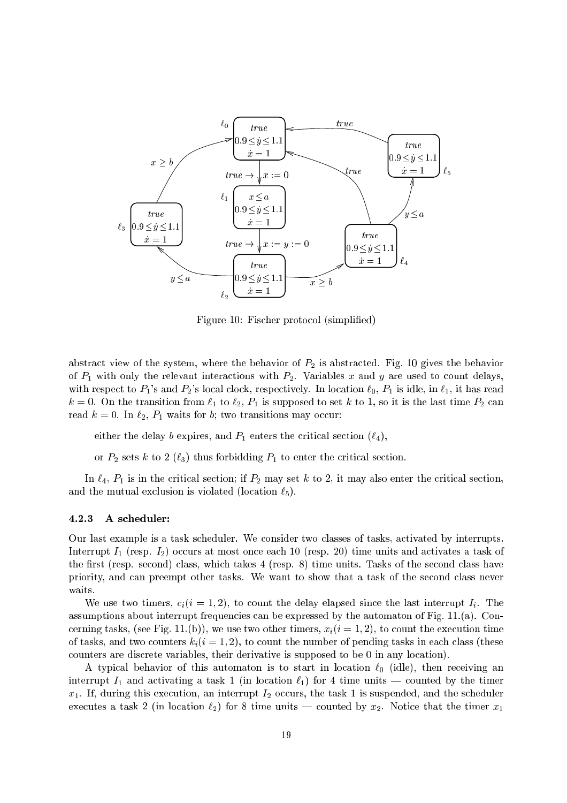

Figure 10: Fischer protocol (simplified)

abstract view of the system, where the behavior of  $P_2$  is abstracted. Fig. 10 gives the behavior of  $P_1$  with only the relevant interactions with  $P_2$ . Variables x and y are used to count delays, with respect to  $P_1$ 's and  $P_2$ 's local clock, respectively. In location  $\ell_0$ ,  $P_1$  is idle, in  $\ell_1$ , it has read  $k = 0$ . On the transition from  $\ell_1$  to  $\ell_2$ ,  $P_1$  is supposed to set k to 1, so it is the last time  $P_2$  can read  $k = 0$ . In  $\ell_2$ ,  $P_1$  waits for b; two transitions may occur:

either the delay b expires, and  $P_1$  enters the critical section  $(\ell_4)$ ,

or  $P_2$  sets k to 2  $(\ell_3)$  thus forbidding  $P_1$  to enter the critical section.

In  $\ell_4$ ,  $P_1$  is in the critical section; if  $P_2$  may set k to 2, it may also enter the critical section, and the mutual exclusion is violated (location  $\ell_5$ ).

### 4.2.3 A scheduler:

Our last example is a task scheduler. We consider two classes of tasks, activated by interrupts. Interrupt  $I_1$  (resp.  $I_2$ ) occurs at most once each 10 (resp. 20) time units and activates a task of the first (resp. second) class, which takes  $4$  (resp. 8) time units. Tasks of the second class have priority, and can preempt other tasks. We want to show that a task of the second class never waits.

We use two timers,  $c_i(i = 1, 2)$ , to count the delay elapsed since the last interrupt  $I_i$ . The assumptions about interrupt frequencies can be expressed by the automaton of Fig. 11.(a). Concerning tasks, (see Fig. 11.(b)), we use two other timers,  $x_i(i = 1, 2)$ , to count the execution time of tasks, and two counters  $k_i(i = 1, 2)$ , to count the number of pending tasks in each class (these counters are discrete variables, their derivative is supposed to be 0 in any location).

A typical behavior of this automaton is to start in location  $\ell_0$  (idle), then receiving an interrupt  $I_1$  and activating a task 1 (in location  $\ell_1$ ) for 4 time units — counted by the timer  $x_1$ . If, during this execution, an interrupt  $I_2$  occurs, the task 1 is suspended, and the scheduler executes a task 2 (in location  $\ell_2$ ) for 8 time units — counted by  $x_2$ . Notice that the timer  $x_1$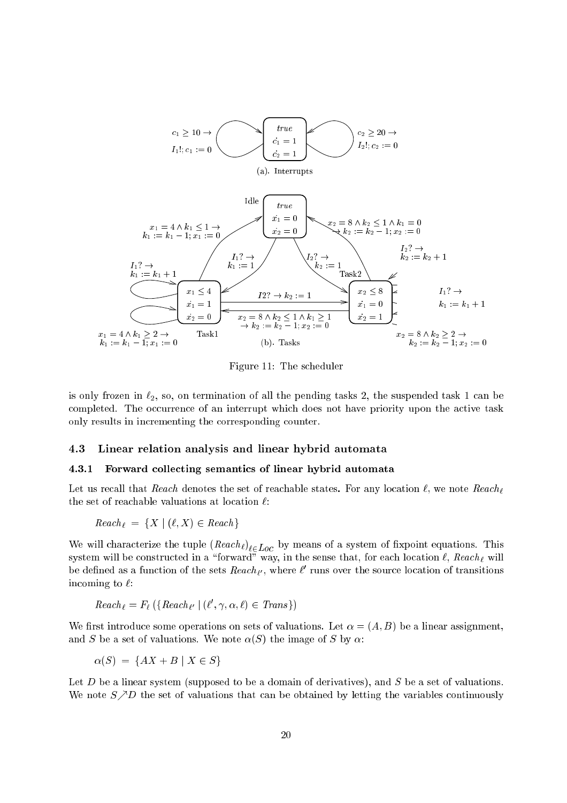

Figure 11: The scheduler

is only frozen in  $\ell_2$ , so, on termination of all the pending tasks 2, the suspended task 1 can be completed. The occurrence of an interrupt which does not have priority upon the active task only results in incrementing the corresponding counter.

### 4.3 Linear relation analysis and linear hybrid automata

#### 4.3.1 Forward collecting semantics of linear hybrid automata

Let us recall that Reach denotes the set of reachable states. For any location  $\ell$ , we note Reach  $\ell$ the set of reachable valuations at location  $\ell$ :

$$
Reach_{\ell} = \{ X \mid (\ell, X) \in \text{Reach} \}
$$

We will characterize the tuple  $\{Real(\ell)_{\ell \in Loc}$  by means of a system of ixpoint equations. This system will be constructed in a "forward" way, in the sense that, for each location  $\ell$ , Reach  $_\ell$  will be defined as a function of the sets  $Reach_{\ell'},$  where  $\ell'$  runs over the source location of transitions incoming to  $\ell$ :

$$
Reach_{\ell} = F_{\ell} (\{Reach_{\ell'} | (\ell', \gamma, \alpha, \ell) \in Trans\})
$$

We first introduce some operations on sets of valuations. Let  $\alpha = (A, B)$  be a linear assignment, and S be a set of valuations. We note  $\alpha(S)$  the image of S by  $\alpha$ :

 $\alpha(S) = \{AX + B \mid X \in S\}$ 

Let  $D$  be a linear system (supposed to be a domain of derivatives), and  $S$  be a set of valuations. We note  $S \nearrow D$  the set of valuations that can be obtained by letting the variables continuously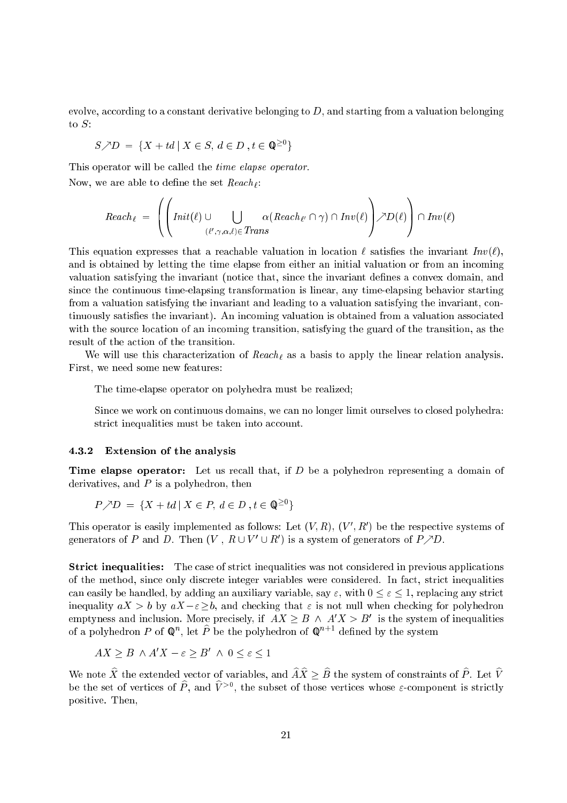evolve, according to a constant derivative belonging to  $D$ , and starting from a valuation belonging to S:

$$
S \nearrow D = \{ X + td \mid X \in S, d \in D, t \in \mathbb{Q}^{\geq 0} \}
$$

This operator will be called the time elapse operator. Now, we are able to define the set  $Reach_{\ell}$ :

$$
Reach_{\ell} = \left( \left( \text{Init}(\ell) \cup \bigcup_{(\ell', \gamma, \alpha, \ell) \in \text{Trans}} \alpha(\text{Reach}_{\ell'} \cap \gamma) \cap \text{Inv}(\ell) \right) \nearrow D(\ell) \right) \cap \text{Inv}(\ell)
$$

This equation expresses that a reachable valuation in location  $\ell$  satisfies the invariant  $Inv(\ell)$ , and is obtained by letting the time elapse from either an initial valuation or from an incoming valuation satisfying the invariant (notice that, since the invariant denes a convex domain, and since the continuous time-elapsing transformation is linear, any time-elapsing behavior starting from a valuation satisfying the invariant and leading to a valuation satisfying the invariant, continuously satisfies the invariant). An incoming valuation is obtained from a valuation associated with the source location of an incoming transition, satisfying the guard of the transition, as the result of the action of the transition.

We will use this characterization of  $Reach_\ell$  as a basis to apply the linear relation analysis. First, we need some new features:

The time-elapse operator on polyhedra must be realized;

Since we work on continuous domains, we can no longer limit ourselves to closed polyhedra: strict inequalities must be taken into account.

#### 4.3.2 Extension of the analysis

**Time elapse operator:** Let us recall that, if D be a polyhedron representing a domain of derivatives, and  $P$  is a polyhedron, then

$$
P \nearrow D = \{ X + td \mid X \in P, d \in D, t \in \mathbb{Q}^{\geq 0} \}
$$

This operator is easily implemented as follows: Let  $(V, R)$ ,  $(V', R')$  be the respective systems of generators of P and D. Then  $(V, R \cup V' \cup R')$  is a system of generators of P  $\nearrow$ D.

Strict inequalities: The case of strict inequalities was not considered in previous applications of the method, since only discrete integer variables were considered. In fact, strict inequalities can easily be handled, by adding an auxiliary variable, say  $\varepsilon$ , with  $0 \le \varepsilon \le 1$ , replacing any strict inequality  $aX > b$  by  $aX - \varepsilon \geq b$ , and checking that  $\varepsilon$  is not null when checking for polyhedron emptyness and inclusion. More precisely, if  $AX \geq B \land A'X > B'$  is the system of inequalities of a polyhedron P of  $\mathbb{Q}^n$ , let  $\widehat{P}$  be the polyhedron of  $\mathbb{Q}^{n+1}$  defined by the system

$$
AX \ge B \ \land A'X - \varepsilon \ge B' \ \land \ 0 \le \varepsilon \le 1
$$

We note X the extended vector of variables, and  $AX \geq B$  the system of constraints of P. Let V be the set of vertices of P, and  $\dot{V}^{>0}$ , the subset of those vertices whose  $\varepsilon$ -component is strictly positive. Then,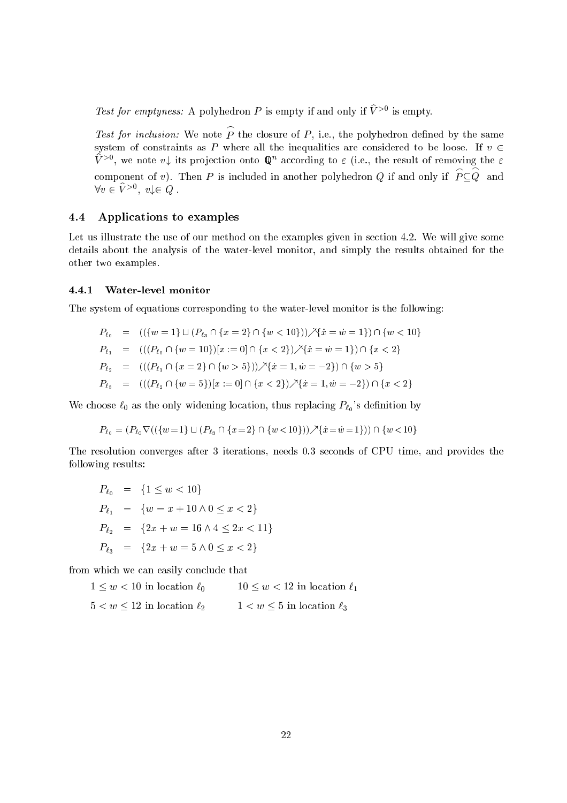Test for emptyness: A polyhedron P is empty if and only if  $\dot{V}^{>0}$  is empty.

Test for inclusion inclusions in the inclusion inclusion in the inclusion in the inclusion in the inclusion in  $\stackrel{\frown}{P}$  the closure of P, i.e., the polyhedron defined by the same system of constraints as P where all the inequalities are considered to be loose. If  $v \in$  $\tilde{V}^{>0}$ , we note v<sub>k</sub> its projection onto  $\mathbb{Q}^n$  according to  $\varepsilon$  (i.e., the result of removing the  $\varepsilon$ component of v). Then P is included in another polyhedron Q if and only if  $\widehat{P} \subseteq \widehat{Q}$  and  $\forall v \in V^{>0}, v \not\downarrow \in Q$ .

#### 4.4 Applications to examples  $4.4$

Let us illustrate the use of our method on the examples given in section 4.2. We will give some details about the analysis of the water-level monitor, and simply the results obtained for the other two examples.

#### Water-level monitor  $4.4.1$

The system of equations corresponding to the water-level monitor is the following:

$$
P_{\ell_0} = ((\{w = 1\} \sqcup (P_{\ell_3} \cap \{x = 2\} \cap \{w < 10\}))) \setminus \{x = \dot{w} = 1\}) \cap \{w < 10\}
$$
\n
$$
P_{\ell_1} = (((P_{\ell_0} \cap \{w = 10\})[x := 0] \cap \{x < 2\}) \setminus \{x = \dot{w} = 1\}) \cap \{x < 2\}
$$
\n
$$
P_{\ell_2} = (((P_{\ell_1} \cap \{x = 2\} \cap \{w > 5\}))) \setminus \{x = 1, \dot{w} = -2\}) \cap \{w > 5\}
$$
\n
$$
P_{\ell_3} = (((P_{\ell_2} \cap \{w = 5\})[x := 0] \cap \{x < 2\}) \setminus \{x = 1, \dot{w} = -2\}) \cap \{x < 2\}
$$

We choose  $\ell_0$  as the only widening location, thus replacing  $P_{\ell_0}$ 's definition by

$$
P_{\ell_0} = (P_{\ell_0} \nabla ((\{w=1\} \sqcup (P_{\ell_3} \cap \{x=2\} \cap \{w<10\})) \nearrow \{x=w=1\})) \cap \{w<10\}
$$

The resolution converges after 3 iterations, needs 0.3 seconds of CPU time, and provides the following results:

$$
P_{\ell_0} = \{1 \le w < 10\}
$$
  
\n
$$
P_{\ell_1} = \{w = x + 10 \land 0 \le x < 2\}
$$
  
\n
$$
P_{\ell_2} = \{2x + w = 16 \land 4 \le 2x < 11\}
$$
  
\n
$$
P_{\ell_3} = \{2x + w = 5 \land 0 \le x < 2\}
$$

from which we can easily conclude that

 $1 \leq w < 10$  in location  $\ell_0$   $10 \leq w < 12$  in location  $\ell_1$  $5 < w \le 12$  in location  $\ell_2$  1 <  $w \le 5$  in location  $\ell_3$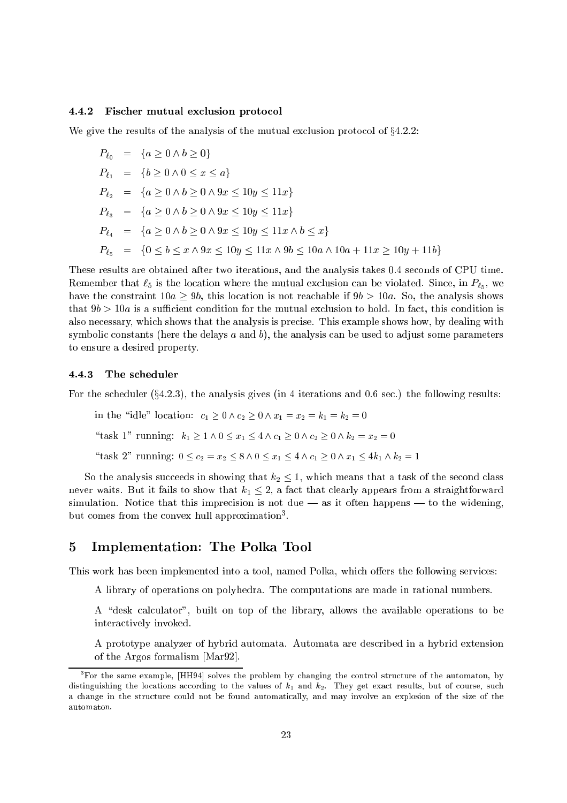#### 4.4.2 4.4.2 Fischer mutual exclusion protocol

We give the results of the analysis of the mutual exclusion protocol of  $\S 4.2.2$ :

$$
P_{\ell_0} = \{a \ge 0 \land b \ge 0\}
$$
  
\n
$$
P_{\ell_1} = \{b \ge 0 \land 0 \le x \le a\}
$$
  
\n
$$
P_{\ell_2} = \{a \ge 0 \land b \ge 0 \land 9x \le 10y \le 11x\}
$$
  
\n
$$
P_{\ell_3} = \{a \ge 0 \land b \ge 0 \land 9x \le 10y \le 11x\}
$$
  
\n
$$
P_{\ell_4} = \{a \ge 0 \land b \ge 0 \land 9x \le 10y \le 11x \land b \le x\}
$$
  
\n
$$
P_{\ell_5} = \{0 \le b \le x \land 9x \le 10y \le 11x \land 9b \le 10a \land 10a + 11x \ge 10y + 11b\}
$$

These results are obtained after two iterations, and the analysis takes 0.4 seconds of CPU time. Remember that  $\ell_5$  is the location where the mutual exclusion can be violated. Since, in  $P_{\ell_5}$ , we have the constraint  $10a \ge 9b$ , this location is not reachable if  $9b > 10a$ . So, the analysis shows that  $9b > 10a$  is a sufficient condition for the mutual exclusion to hold. In fact, this condition is also necessary, which shows that the analysis is precise. This example shows how, by dealing with symbolic constants (here the delays  $a$  and  $b$ ), the analysis can be used to adjust some parameters to ensure a desired property.

### 4.4.3 The scheduler

For the scheduler  $(\S4.2.3)$ , the analysis gives (in 4 iterations and 0.6 sec.) the following results:

in the "idle" location:  $c_1 \geq 0 \wedge c_2 \geq 0 \wedge x_1 = x_2 = k_1 = k_2 = 0$ "task 1" running:  $k_1 \geq 1 \wedge 0 \leq x_1 \leq 4 \wedge c_1 \geq 0 \wedge c_2 \geq 0 \wedge k_2 = x_2 = 0$ "task 2" running:  $0 \le c_2 = x_2 \le 8 \wedge 0 \le x_1 \le 4 \wedge c_1 \ge 0 \wedge x_1 \le 4k_1 \wedge k_2 = 1$ 

So the analysis succeeds in showing that  $k_2 \leq 1$ , which means that a task of the second class never waits. But it fails to show that  $k_1 \leq 2$ , a fact that clearly appears from a straightforward simulation. Notice that this imprecision is not due  $-$  as it often happens  $-$  to the widening, but comes from the convex hull approximation<sup>3</sup>.

# 5 Implementation: The Polka Tool

This work has been implemented into a tool, named Polka, which offers the following services:

A library of operations on polyhedra. The computations are made in rational numbers.

A "desk calculator", built on top of the library, allows the available operations to be interactively invoked.

A prototype analyzer of hybrid automata. Automata are described in a hybrid extension of the Argos formalism [Mar92].

<sup>3</sup> For the same example, [HH94] solves the problem by changing the control structure of the automaton, by distinguishing the locations according to the values of  $k_1$  and  $k_2$ . They get exact results, but of course, such a change in the structure could not be found automatically, and may involve an explosion of the size of the automaton.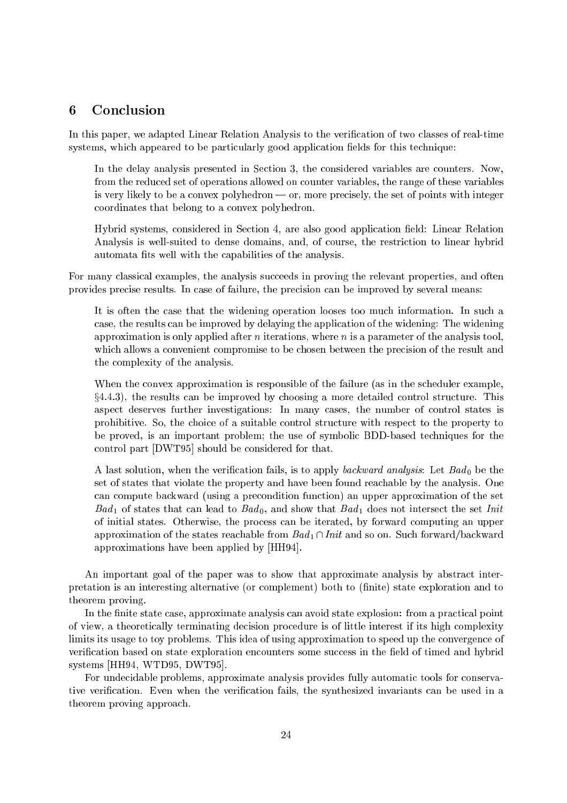#### Conclusion 6

In this paper, we adapted Linear Relation Analysis to the verification of two classes of real-time systems, which appeared to be particularly good application fields for this technique:

In the delay analysis presented in Section 3, the considered variables are counters. Now, from the reduced set of operations allowed on counter variables, the range of these variables is very likely to be a convex polyhedron  $-$  or, more precisely, the set of points with integer coordinates that belong to a convex polyhedron.

Hybrid systems, considered in Section 4, are also good application field: Linear Relation Analysis is well-suited to dense domains, and, of course, the restriction to linear hybrid automata fits well with the capabilities of the analysis.

For many classical examples, the analysis succeeds in proving the relevant properties, and often provides precise results. In case of failure, the precision can be improved by several means:

It is often the case that the widening operation looses too much information. In such a case, the results can be improved by delaying the application of the widening: The widening approximation is only applied after  $n$  iterations, where  $n$  is a parameter of the analysis tool, which allows a convenient compromise to be chosen between the precision of the result and the complexity of the analysis.

When the convex approximation is responsible of the failure (as in the scheduler example,  $\S4.4.3$ ), the results can be improved by choosing a more detailed control structure. This aspect deserves further investigations: In many cases, the number of control states is prohibitive. So, the choice of a suitable control structure with respect to the property to be proved, is an important problem; the use of symbolic BDD-based techniques for the control part [DWT95] should be considered for that.

A last solution, when the verification fails, is to apply backward analysis: Let  $Bad_0$  be the set of states that violate the property and have been found reachable by the analysis. One can compute backward (using a precondition function) an upper approximation of the set  $Bad_1$  of states that can lead to  $Bad_0$ , and show that  $Bad_1$  does not intersect the set Init of initial states. Otherwise, the process can be iterated, by forward computing an upper approximation of the states reachable from  $Bad_1 \cap init$  and so on. Such forward/backward approximations have been applied by [HH94].

An important goal of the paper was to show that approximate analysis by abstract interpretation is an interesting alternative (or complement) both to (finite) state exploration and to theorem proving.

In the finite state case, approximate analysis can avoid state explosion: from a practical point of view, a theoretically terminating decision procedure is of little interest if its high complexity limits its usage to toy problems. This idea of using approximation to speed up the convergence of verification based on state exploration encounters some success in the field of timed and hybrid systems [HH94, WTD95, DWT95].

For undecidable problems, approximate analysis provides fully automatic tools for conservative verication. Even when the verication fails, the synthesized invariants can be used in a theorem proving approach.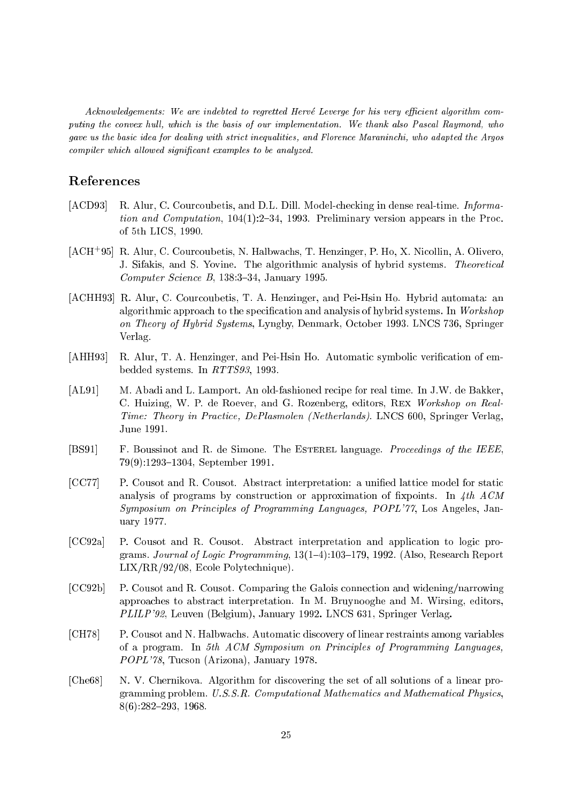Acknowledgements: We are indebted to regretted Hervé Leverge for his very efficient algorithm computing the convex hull, which is the basis of our implementation. We thank also Pascal Raymond, who gave us the basic idea for dealing with strict inequalities, and Florence Maraninchi, who adapted the Argos compiler which allowed significant examples to be analyzed.

## References

- [ACD93] R. Alur, C. Courcoubetis, and D.L. Dill. Model-checking in dense real-time. *Informa*tion and Computation,  $104(1):2-34$ , 1993. Preliminary version appears in the Proc. of 5th LICS, 1990.
- [ACH<sup>+</sup> 95] R. Alur, C. Courcoubetis, N. Halbwachs, T. Henzinger, P. Ho, X. Nicollin, A. Olivero, J. Sifakis, and S. Yovine. The algorithmic analysis of hybrid systems. Theoretical Computer Science B,  $138:3-34$ , January 1995.
- [ACHH93] R. Alur, C. Courcoubetis, T. A. Henzinger, and Pei-Hsin Ho. Hybrid automata: an algorithmic approach to the specification and analysis of hybrid systems. In Workshop on Theory of Hybrid Systems, Lyngby, Denmark, October 1993. LNCS 736, Springer Verlag.
- [AHH93] R. Alur, T. A. Henzinger, and Pei-Hsin Ho. Automatic symbolic verification of embedded systems. In RTTS93, 1993.
- [AL91] M. Abadi and L. Lamport. An old-fashioned recipe for real time. In J.W. de Bakker, C. Huizing, W. P. de Roever, and G. Rozenberg, editors, Rex Workshop on Real-Time: Theory in Practice, DePlasmolen (Netherlands). LNCS 600, Springer Verlag, June 1991.
- [BS91] F. Boussinot and R. de Simone. The ESTEREL language. *Proceedings of the IEEE*, 79(9):1293-1304, September 1991.
- [CC77] P. Cousot and R. Cousot. Abstract interpretation: a unied lattice model for static analysis of programs by construction or approximation of fixpoints. In  $4th$  ACM Symposium on Principles of Programming Languages, POPL'77, Los Angeles, January 1977.
- [CC92a] P. Cousot and R. Cousot. Abstract interpretation and application to logic programs. Journal of Logic Programming, 13(1{4):103{179, 1992. (Also, Research Report LIX/RR/92/08, Ecole Polytechnique).
- [CC92b] P. Cousot and R. Cousot. Comparing the Galois connection and widening/narrowing approaches to abstract interpretation. In M. Bruynooghe and M. Wirsing, editors, PLILP'92, Leuven (Belgium), January 1992. LNCS 631, Springer Verlag.
- [CH78] P. Cousot and N. Halbwachs. Automatic discovery of linear restraints among variables of a program. In 5th ACM Symposium on Principles of Programming Languages, POPL'78, Tucson (Arizona), January 1978.
- [Che68] N. V. Chernikova. Algorithm for discovering the set of all solutions of a linear programming problem. U.S.S.R. Computational Mathematics and Mathematical Physics,  $8(6):282{-}293, 1968.$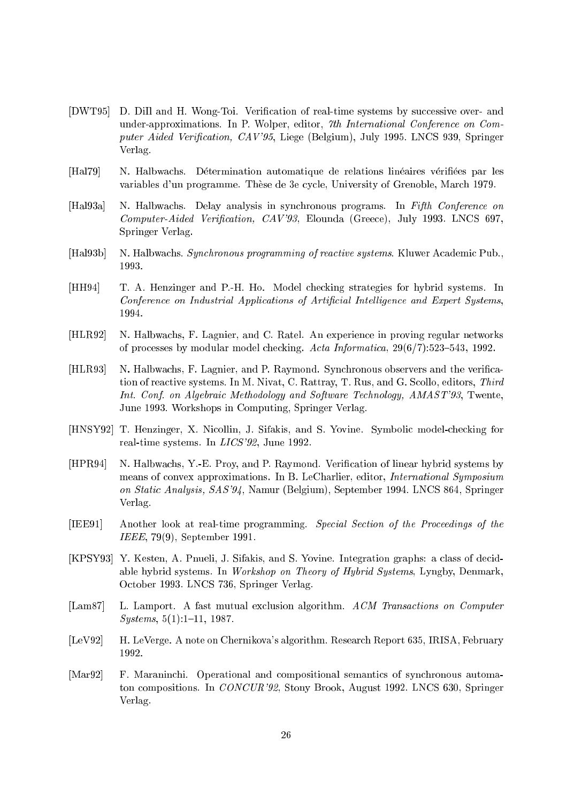- [DWT95] D. Dill and H. Wong-Toi. Verification of real-time systems by successive over- and under-approximations. In P. Wolper, editor, 7th International Conference on Computer Aided Verification, CAV'95, Liege (Belgium), July 1995. LNCS 939, Springer Verlag.
- [Hal79] N. Halbwachs. Détermination automatique de relations linéaires vérifiées par les variables d'un programme. These de 3e cycle, University of Grenoble, March 1979.
- [Hal93a] N. Halbwachs. Delay analysis in synchronous programs. In Fifth Conference on Computer-Aided Verification, CAV'93, Elounda (Greece), July 1993. LNCS 697, Springer Verlag.
- [Hal93b] N. Halbwachs. Synchronous programming of reactive systems. Kluwer Academic Pub., 1993.
- [HH94] T. A. Henzinger and P.-H. Ho. Model checking strategies for hybrid systems. In Conference on Industrial Applications of Artificial Intelligence and Expert Systems, 1994.
- [HLR92] N. Halbwachs, F. Lagnier, and C. Ratel. An experience in proving regular networks of processes by modular model checking. Acta Informatica,  $29(6/7)$ :523-543, 1992.
- [HLR93] N. Halbwachs, F. Lagnier, and P. Raymond. Synchronous observers and the verication of reactive systems. In M. Nivat, C. Rattray, T. Rus, and G. Scollo, editors, Third Int. Conf. on Algebraic Methodology and Software Technology, AMAST'93, Twente, June 1993. Workshops in Computing, Springer Verlag.
- [HNSY92] T. Henzinger, X. Nicollin, J. Sifakis, and S. Yovine. Symbolic model-checking for real-time systems. In LICS'92, June 1992.
- [HPR94] N. Halbwachs, Y.-E. Proy, and P. Raymond. Verification of linear hybrid systems by means of convex approximations. In B. LeCharlier, editor, International Symposium on Static Analysis, SAS'94, Namur (Belgium), September 1994. LNCS 864, Springer Verlag.
- [IEE91] Another look at real-time programming. Special Section of the Proceedings of the IEEE, 79(9), September 1991.
- [KPSY93] Y. Kesten, A. Pnueli, J. Sifakis, and S. Yovine. Integration graphs: a class of decidable hybrid systems. In Workshop on Theory of Hybrid Systems, Lyngby, Denmark, October 1993. LNCS 736, Springer Verlag.
- [Lam87] L. Lamport. A fast mutual exclusion algorithm. ACM Transactions on Computer  $Systems, 5(1):1–11, 1987.$
- [LeV92] H. LeVerge. A note on Chernikova's algorithm. Research Report 635, IRISA, February 1992.
- [Mar92] F. Maraninchi. Operational and compositional semantics of synchronous automaton compositions. In CONCUR'92, Stony Brook, August 1992. LNCS 630, Springer Verlag.